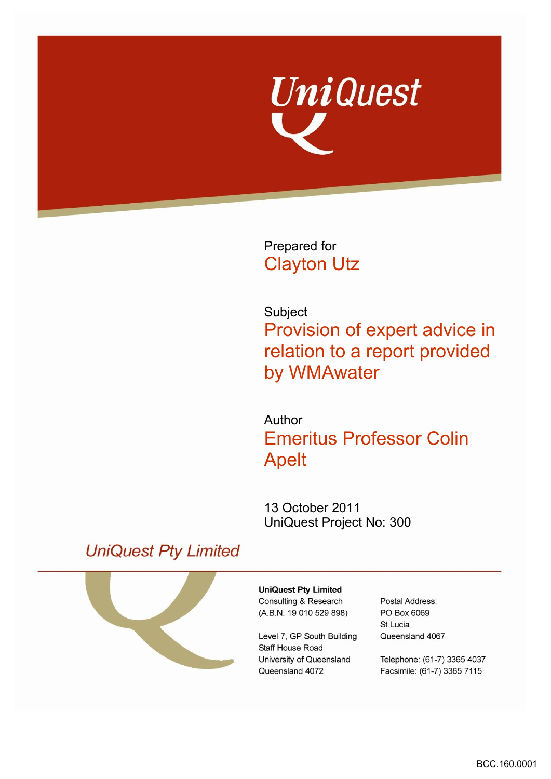

Prepared for Clayton Utz

Subject Provision of expert advice in relation to a report provided by WMAwater

Author Emeritus Professor Colin Apelt

13 October 2011 UniQuest Project No: 300

# **UniQuest Pty Limited**



**UniQuest Pty Limited** Consulting & Research (A.B.N. 19 010 529 898)

Level 7, GP South Building Staff House Road University of Queensland Queensland 4072

Postal Address: PO Box 6069 St Lucia Queensland 4067

Telephone: (61-7) 3365 4037 Facsimile: (61-7) 3365 7115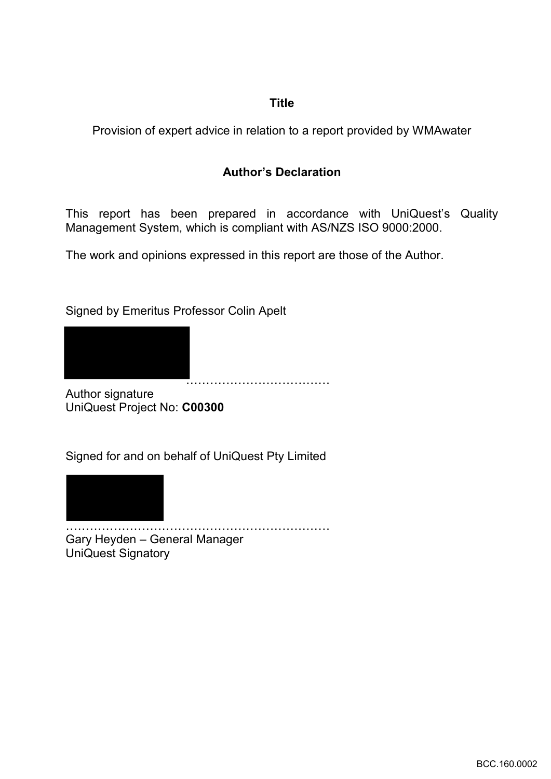## **Title**

Provision of expert advice in relation to a report provided by WMAwater

## **Author's Declaration**

This report has been prepared in accordance with UniQuest's Quality Management System, which is compliant with AS/NZS ISO 9000:2000.

The work and opinions expressed in this report are those of the Author.

Signed by Emeritus Professor Colin Apelt



Author signature UniQuest Project No: **C00300** 

Signed for and on behalf of UniQuest Pty Limited



………………………………………………………… Gary Heyden – General Manager UniQuest Signatory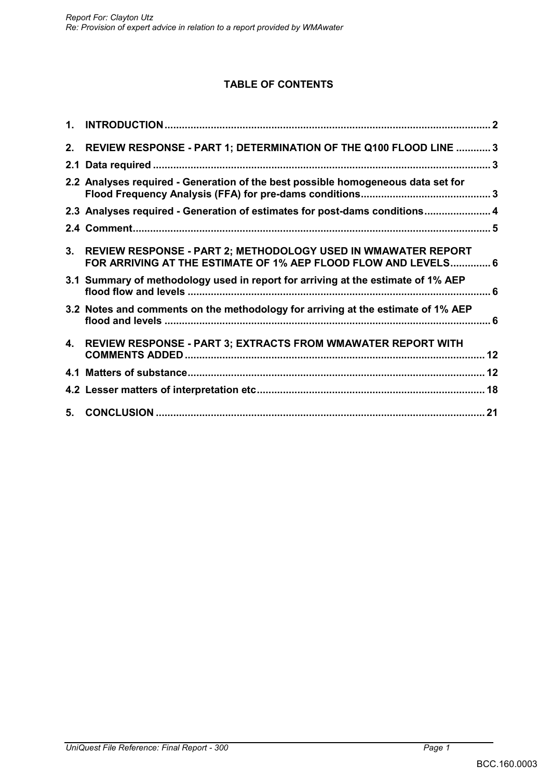## **TABLE OF CONTENTS**

| $1_{-}$ |                                                                                                                                    |  |
|---------|------------------------------------------------------------------------------------------------------------------------------------|--|
|         | 2. REVIEW RESPONSE - PART 1; DETERMINATION OF THE Q100 FLOOD LINE  3                                                               |  |
|         |                                                                                                                                    |  |
|         | 2.2 Analyses required - Generation of the best possible homogeneous data set for                                                   |  |
|         | 2.3 Analyses required - Generation of estimates for post-dams conditions 4                                                         |  |
|         |                                                                                                                                    |  |
|         | 3. REVIEW RESPONSE - PART 2; METHODOLOGY USED IN WMAWATER REPORT<br>FOR ARRIVING AT THE ESTIMATE OF 1% AEP FLOOD FLOW AND LEVELS 6 |  |
|         | 3.1 Summary of methodology used in report for arriving at the estimate of 1% AEP                                                   |  |
|         | 3.2 Notes and comments on the methodology for arriving at the estimate of 1% AEP                                                   |  |
|         | 4. REVIEW RESPONSE - PART 3; EXTRACTS FROM WMAWATER REPORT WITH                                                                    |  |
|         |                                                                                                                                    |  |
|         |                                                                                                                                    |  |
|         |                                                                                                                                    |  |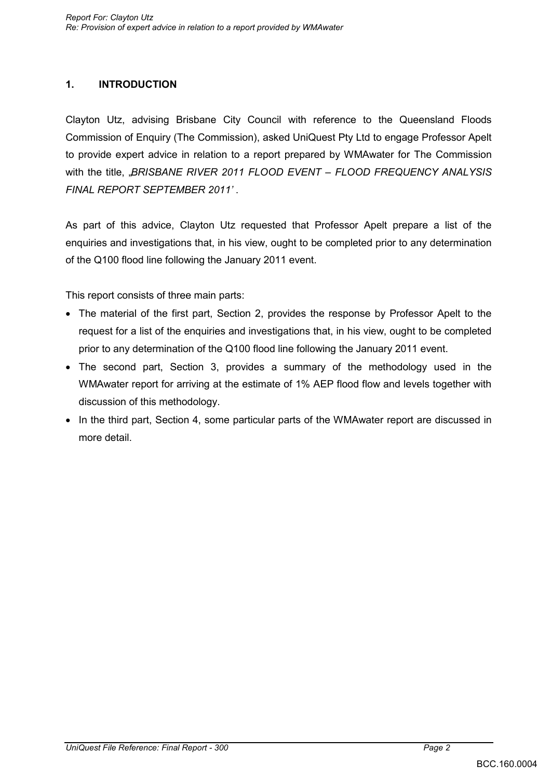## **1. INTRODUCTION**

Clayton Utz, advising Brisbane City Council with reference to the Queensland Floods Commission of Enquiry (The Commission), asked UniQuest Pty Ltd to engage Professor Apelt to provide expert advice in relation to a report prepared by WMAwater for The Commission with the title, "*BRISBANE RIVER 2011 FLOOD EVENT – FLOOD FREQUENCY ANALYSIS FINAL REPORT SEPTEMBER 2011'* .

As part of this advice, Clayton Utz requested that Professor Apelt prepare a list of the enquiries and investigations that, in his view, ought to be completed prior to any determination of the Q100 flood line following the January 2011 event.

This report consists of three main parts:

- The material of the first part, Section 2, provides the response by Professor Apelt to the request for a list of the enquiries and investigations that, in his view, ought to be completed prior to any determination of the Q100 flood line following the January 2011 event.
- The second part, Section 3, provides a summary of the methodology used in the WMAwater report for arriving at the estimate of 1% AEP flood flow and levels together with discussion of this methodology.
- In the third part, Section 4, some particular parts of the WMAwater report are discussed in more detail.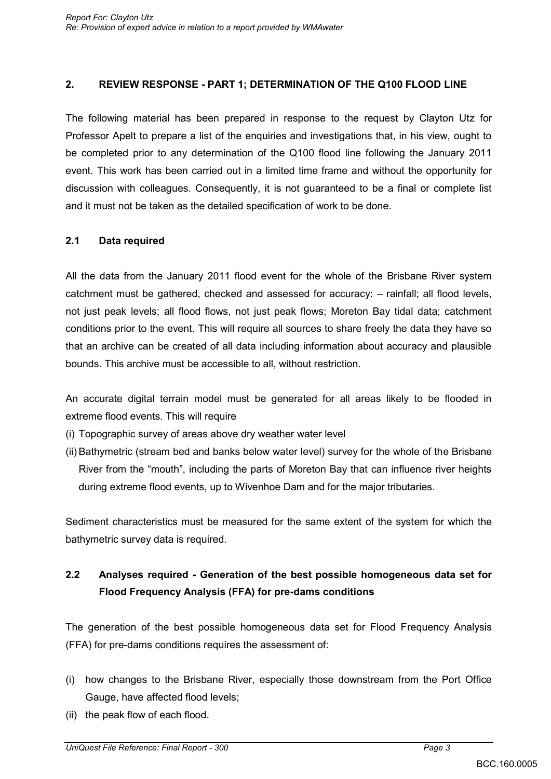### **2. REVIEW RESPONSE - PART 1; DETERMINATION OF THE Q100 FLOOD LINE**

The following material has been prepared in response to the request by Clayton Utz for Professor Apelt to prepare a list of the enquiries and investigations that, in his view, ought to be completed prior to any determination of the Q100 flood line following the January 2011 event. This work has been carried out in a limited time frame and without the opportunity for discussion with colleagues. Consequently, it is not guaranteed to be a final or complete list and it must not be taken as the detailed specification of work to be done.

### **2.1 Data required**

All the data from the January 2011 flood event for the whole of the Brisbane River system catchment must be gathered, checked and assessed for accuracy: – rainfall; all flood levels, not just peak levels; all flood flows, not just peak flows; Moreton Bay tidal data; catchment conditions prior to the event. This will require all sources to share freely the data they have so that an archive can be created of all data including information about accuracy and plausible bounds. This archive must be accessible to all, without restriction.

An accurate digital terrain model must be generated for all areas likely to be flooded in extreme flood events. This will require

- (i) Topographic survey of areas above dry weather water level
- (ii) Bathymetric (stream bed and banks below water level) survey for the whole of the Brisbane River from the "mouth", including the parts of Moreton Bay that can influence river heights during extreme flood events, up to Wivenhoe Dam and for the major tributaries.

Sediment characteristics must be measured for the same extent of the system for which the bathymetric survey data is required.

## **2.2 Analyses required - Generation of the best possible homogeneous data set for Flood Frequency Analysis (FFA) for pre-dams conditions**

The generation of the best possible homogeneous data set for Flood Frequency Analysis (FFA) for pre-dams conditions requires the assessment of:

- (i) how changes to the Brisbane River, especially those downstream from the Port Office Gauge, have affected flood levels;
- (ii) the peak flow of each flood.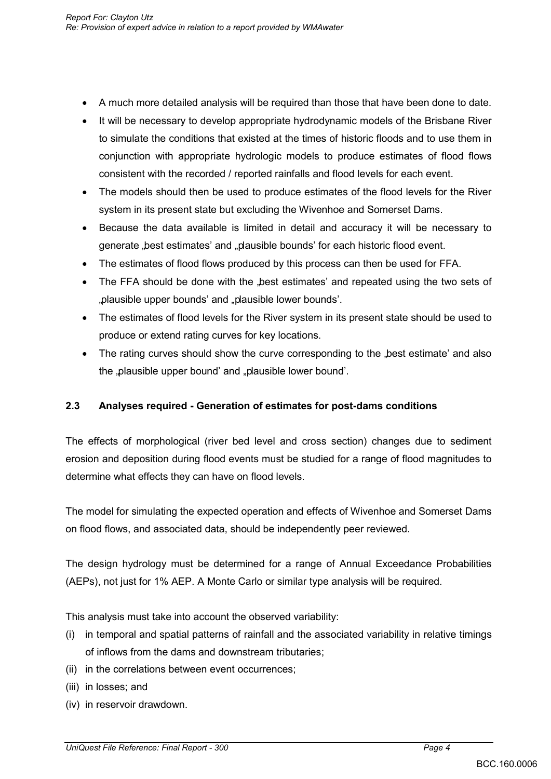- A much more detailed analysis will be required than those that have been done to date.
- It will be necessary to develop appropriate hydrodynamic models of the Brisbane River to simulate the conditions that existed at the times of historic floods and to use them in conjunction with appropriate hydrologic models to produce estimates of flood flows consistent with the recorded / reported rainfalls and flood levels for each event.
- The models should then be used to produce estimates of the flood levels for the River system in its present state but excluding the Wivenhoe and Somerset Dams.
- Because the data available is limited in detail and accuracy it will be necessary to generate "best estimates' and "plausible bounds' for each historic flood event.
- The estimates of flood flows produced by this process can then be used for FFA.
- The FFA should be done with the best estimates' and repeated using the two sets of "plausible upper bounds" and "plausible lower bounds".
- The estimates of flood levels for the River system in its present state should be used to produce or extend rating curves for key locations.
- The rating curves should show the curve corresponding to the "best estimate' and also the "plausible upper bound' and "plausible lower bound'.

### **2.3 Analyses required - Generation of estimates for post-dams conditions**

The effects of morphological (river bed level and cross section) changes due to sediment erosion and deposition during flood events must be studied for a range of flood magnitudes to determine what effects they can have on flood levels.

 The model for simulating the expected operation and effects of Wivenhoe and Somerset Dams on flood flows, and associated data, should be independently peer reviewed.

The design hydrology must be determined for a range of Annual Exceedance Probabilities (AEPs), not just for 1% AEP. A Monte Carlo or similar type analysis will be required.

This analysis must take into account the observed variability:

- (i) in temporal and spatial patterns of rainfall and the associated variability in relative timings of inflows from the dams and downstream tributaries;
- (ii) in the correlations between event occurrences;
- (iii) in losses; and
- (iv) in reservoir drawdown.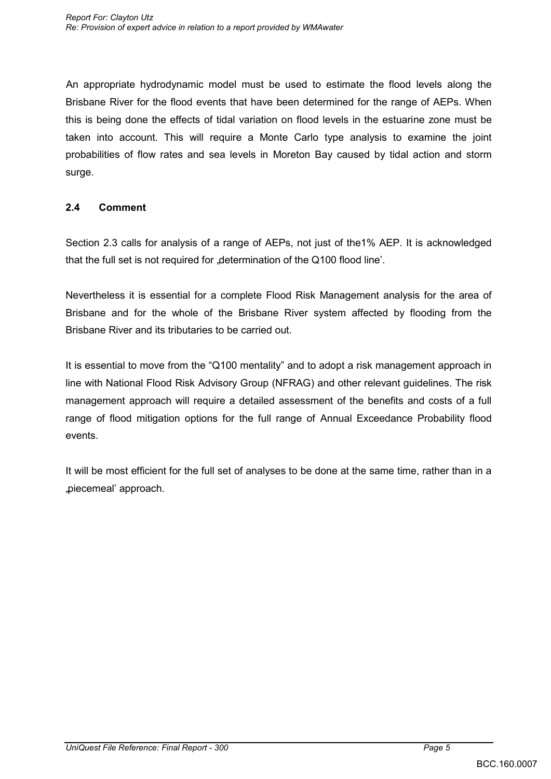An appropriate hydrodynamic model must be used to estimate the flood levels along the Brisbane River for the flood events that have been determined for the range of AEPs. When this is being done the effects of tidal variation on flood levels in the estuarine zone must be taken into account. This will require a Monte Carlo type analysis to examine the joint probabilities of flow rates and sea levels in Moreton Bay caused by tidal action and storm surge.

### **2.4 Comment**

 Section 2.3 calls for analysis of a range of AEPs, not just of the1% AEP. It is acknowledged that the full set is not required for "determination of the Q100 flood line'.

 Nevertheless it is essential for a complete Flood Risk Management analysis for the area of Brisbane and for the whole of the Brisbane River system affected by flooding from the Brisbane River and its tributaries to be carried out.

 It is essential to move from the "Q100 mentality" and to adopt a risk management approach in line with National Flood Risk Advisory Group (NFRAG) and other relevant guidelines. The risk management approach will require a detailed assessment of the benefits and costs of a full range of flood mitigation options for the full range of Annual Exceedance Probability flood events.

 It will be most efficient for the full set of analyses to be done at the same time, rather than in a "piecemeal" approach.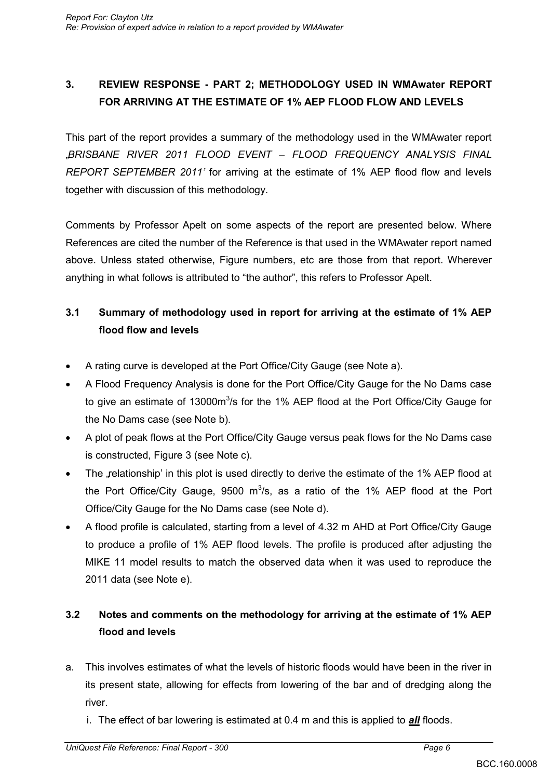## **3. REVIEW RESPONSE - PART 2; METHODOLOGY USED IN WMAwater REPORT FOR ARRIVING AT THE ESTIMATE OF 1% AEP FLOOD FLOW AND LEVELS**

This part of the report provides a summary of the methodology used in the WMAwater report "*BRISBANE RIVER 2011 FLOOD EVENT – FLOOD FREQUENCY ANALYSIS FINAL REPORT SEPTEMBER 2011'* for arriving at the estimate of 1% AEP flood flow and levels together with discussion of this methodology.

Comments by Professor Apelt on some aspects of the report are presented below. Where References are cited the number of the Reference is that used in the WMAwater report named above. Unless stated otherwise, Figure numbers, etc are those from that report. Wherever anything in what follows is attributed to "the author", this refers to Professor Apelt.

## **3.1 Summary of methodology used in report for arriving at the estimate of 1% AEP flood flow and levels**

- A rating curve is developed at the Port Office/City Gauge (see Note a).
- A Flood Frequency Analysis is done for the Port Office/City Gauge for the No Dams case to give an estimate of 13000m<sup>3</sup>/s for the 1% AEP flood at the Port Office/City Gauge for the No Dams case (see Note b).
- A plot of peak flows at the Port Office/City Gauge versus peak flows for the No Dams case is constructed, Figure 3 (see Note c).
- The "relationship' in this plot is used directly to derive the estimate of the 1% AEP flood at the Port Office/City Gauge, 9500  $m^3/s$ , as a ratio of the 1% AEP flood at the Port Office/City Gauge for the No Dams case (see Note d).
- A flood profile is calculated, starting from a level of 4.32 m AHD at Port Office/City Gauge to produce a profile of 1% AEP flood levels. The profile is produced after adjusting the MIKE 11 model results to match the observed data when it was used to reproduce the 2011 data (see Note e).

## **3.2 Notes and comments on the methodology for arriving at the estimate of 1% AEP flood and levels**

- a. This involves estimates of what the levels of historic floods would have been in the river in its present state, allowing for effects from lowering of the bar and of dredging along the river.
	- i. The effect of bar lowering is estimated at 0.4 m and this is applied to *all* floods.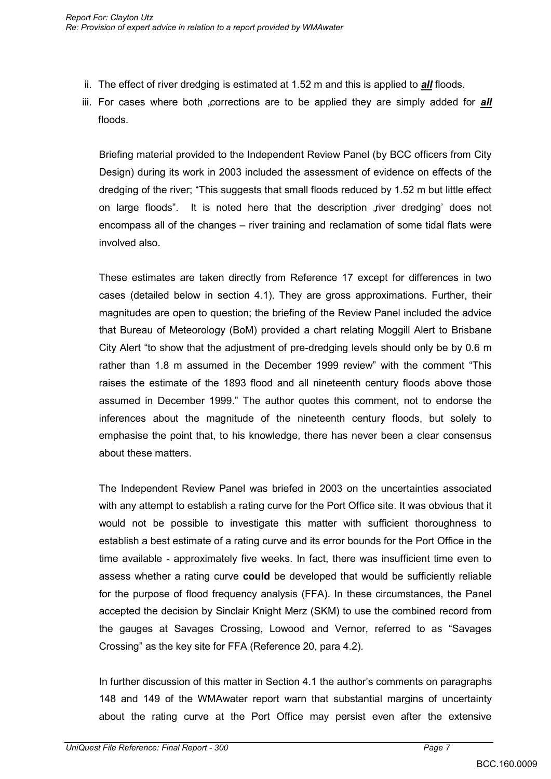- ii. The effect of river dredging is estimated at 1.52 m and this is applied to *all* floods.
- iii. For cases where both <sub>"c</sub>orrections are to be applied they are simply added for **all** floods.

Briefing material provided to the Independent Review Panel (by BCC officers from City Design) during its work in 2003 included the assessment of evidence on effects of the dredging of the river; "This suggests that small floods reduced by 1.52 m but little effect on large floods". It is noted here that the description , river dredging' does not encompass all of the changes – river training and reclamation of some tidal flats were involved also.

These estimates are taken directly from Reference 17 except for differences in two cases (detailed below in section 4.1). They are gross approximations. Further, their magnitudes are open to question; the briefing of the Review Panel included the advice that Bureau of Meteorology (BoM) provided a chart relating Moggill Alert to Brisbane City Alert "to show that the adjustment of pre-dredging levels should only be by 0.6 m rather than 1.8 m assumed in the December 1999 review" with the comment "This raises the estimate of the 1893 flood and all nineteenth century floods above those assumed in December 1999." The author quotes this comment, not to endorse the inferences about the magnitude of the nineteenth century floods, but solely to emphasise the point that, to his knowledge, there has never been a clear consensus about these matters.

The Independent Review Panel was briefed in 2003 on the uncertainties associated with any attempt to establish a rating curve for the Port Office site. It was obvious that it would not be possible to investigate this matter with sufficient thoroughness to establish a best estimate of a rating curve and its error bounds for the Port Office in the time available - approximately five weeks. In fact, there was insufficient time even to assess whether a rating curve **could** be developed that would be sufficiently reliable for the purpose of flood frequency analysis (FFA). In these circumstances, the Panel accepted the decision by Sinclair Knight Merz (SKM) to use the combined record from the gauges at Savages Crossing, Lowood and Vernor, referred to as "Savages Crossing" as the key site for FFA (Reference 20, para 4.2).

In further discussion of this matter in Section 4.1 the author"s comments on paragraphs 148 and 149 of the WMAwater report warn that substantial margins of uncertainty about the rating curve at the Port Office may persist even after the extensive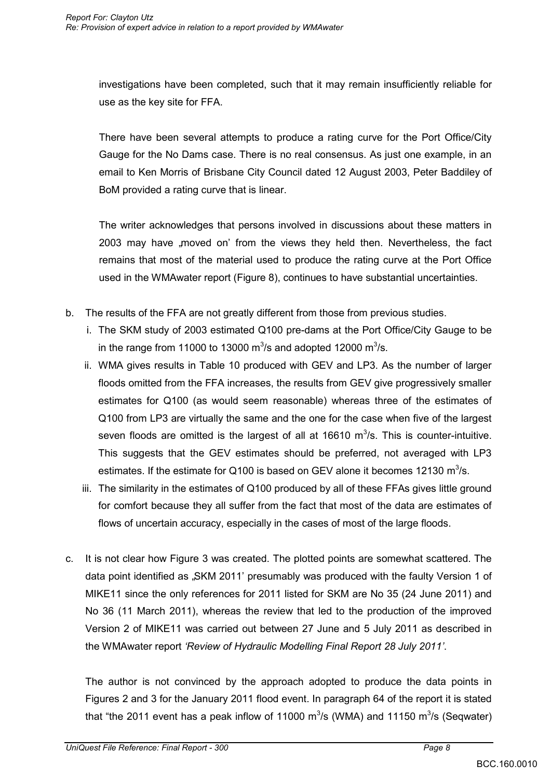investigations have been completed, such that it may remain insufficiently reliable for use as the key site for FFA.

There have been several attempts to produce a rating curve for the Port Office/City Gauge for the No Dams case. There is no real consensus. As just one example, in an email to Ken Morris of Brisbane City Council dated 12 August 2003, Peter Baddiley of BoM provided a rating curve that is linear.

The writer acknowledges that persons involved in discussions about these matters in 2003 may have "moved on' from the views they held then. Nevertheless, the fact remains that most of the material used to produce the rating curve at the Port Office used in the WMAwater report (Figure 8), continues to have substantial uncertainties.

- b. The results of the FFA are not greatly different from those from previous studies.
	- i. The SKM study of 2003 estimated Q100 pre-dams at the Port Office/City Gauge to be in the range from 11000 to 13000  $\mathrm{m}^3$ /s and adopted 12000  $\mathrm{m}^3$ /s.
	- ii. WMA gives results in Table 10 produced with GEV and LP3. As the number of larger floods omitted from the FFA increases, the results from GEV give progressively smaller estimates for Q100 (as would seem reasonable) whereas three of the estimates of Q100 from LP3 are virtually the same and the one for the case when five of the largest seven floods are omitted is the largest of all at 16610  $m^3/s$ . This is counter-intuitive. This suggests that the GEV estimates should be preferred, not averaged with LP3 estimates. If the estimate for Q100 is based on GEV alone it becomes 12130  $m^3/s$ .
	- iii. The similarity in the estimates of Q100 produced by all of these FFAs gives little ground for comfort because they all suffer from the fact that most of the data are estimates of flows of uncertain accuracy, especially in the cases of most of the large floods.
- c. It is not clear how Figure 3 was created. The plotted points are somewhat scattered. The data point identified as "SKM 2011' presumably was produced with the faulty Version 1 of MIKE11 since the only references for 2011 listed for SKM are No 35 (24 June 2011) and No 36 (11 March 2011), whereas the review that led to the production of the improved Version 2 of MIKE11 was carried out between 27 June and 5 July 2011 as described in the WMAwater report *'Review of Hydraulic Modelling Final Report 28 July 2011'*.

The author is not convinced by the approach adopted to produce the data points in Figures 2 and 3 for the January 2011 flood event. In paragraph 64 of the report it is stated that "the 2011 event has a peak inflow of 11000  $\mathrm{m}^3$ /s (WMA) and 11150  $\mathrm{m}^3$ /s (Seqwater)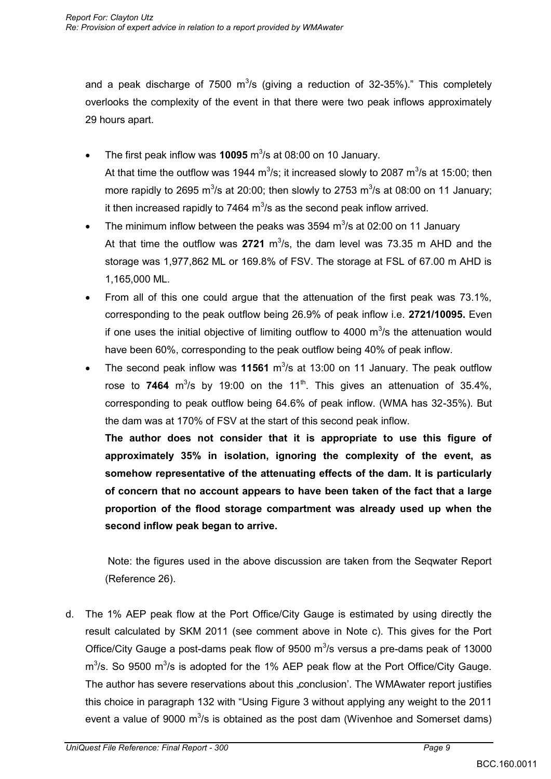and a peak discharge of 7500  $\mathrm{m}^3$ /s (giving a reduction of 32-35%)." This completely overlooks the complexity of the event in that there were two peak inflows approximately 29 hours apart.

- The first peak inflow was **10095** m<sup>3</sup>/s at 08:00 on 10 January. At that time the outflow was 1944 m<sup>3</sup>/s; it increased slowly to 2087 m<sup>3</sup>/s at 15:00; then more rapidly to 2695 m<sup>3</sup>/s at 20:00; then slowly to 2753 m<sup>3</sup>/s at 08:00 on 11 January; it then increased rapidly to 7464  $m^3/s$  as the second peak inflow arrived.
- The minimum inflow between the peaks was 3594  $\mathrm{m}^3$ /s at 02:00 on 11 January At that time the outflow was  $2721 \text{ m}^3/\text{s}$ , the dam level was 73.35 m AHD and the storage was 1,977,862 ML or 169.8% of FSV. The storage at FSL of 67.00 m AHD is 1,165,000 ML.
- From all of this one could argue that the attenuation of the first peak was 73.1%, corresponding to the peak outflow being 26.9% of peak inflow i.e. **2721/10095.** Even if one uses the initial objective of limiting outflow to 4000  $\mathrm{m}^3$ /s the attenuation would have been 60%, corresponding to the peak outflow being 40% of peak inflow.
- The second peak inflow was 11561 m<sup>3</sup>/s at 13:00 on 11 January. The peak outflow rose to **7464**  $m^3$ /s by 19:00 on the 11<sup>th</sup>. This gives an attenuation of 35.4%, corresponding to peak outflow being 64.6% of peak inflow. (WMA has 32-35%). But the dam was at 170% of FSV at the start of this second peak inflow.

**The author does not consider that it is appropriate to use this figure of approximately 35% in isolation, ignoring the complexity of the event, as somehow representative of the attenuating effects of the dam. It is particularly of concern that no account appears to have been taken of the fact that a large proportion of the flood storage compartment was already used up when the second inflow peak began to arrive.** 

 Note: the figures used in the above discussion are taken from the Seqwater Report (Reference 26).

d. The 1% AEP peak flow at the Port Office/City Gauge is estimated by using directly the result calculated by SKM 2011 (see comment above in Note c). This gives for the Port Office/City Gauge a post-dams peak flow of  $9500 \text{ m}^3$ /s versus a pre-dams peak of 13000  $m<sup>3</sup>/s$ . So 9500  $m<sup>3</sup>/s$  is adopted for the 1% AEP peak flow at the Port Office/City Gauge. The author has severe reservations about this .conclusion'. The WMAwater report justifies this choice in paragraph 132 with "Using Figure 3 without applying any weight to the 2011 event a value of 9000  $\mathrm{m}^3$ /s is obtained as the post dam (Wivenhoe and Somerset dams)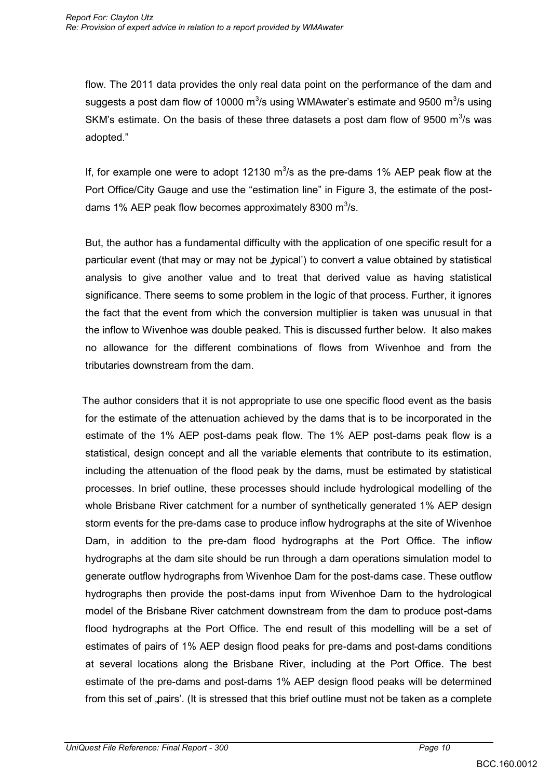flow. The 2011 data provides the only real data point on the performance of the dam and suggests a post dam flow of 10000 m<sup>3</sup>/s using WMAwater's estimate and 9500 m<sup>3</sup>/s using SKM's estimate. On the basis of these three datasets a post dam flow of 9500  $m^3$ /s was adopted."

If, for example one were to adopt 12130  $m^3/s$  as the pre-dams 1% AEP peak flow at the Port Office/City Gauge and use the "estimation line" in Figure 3, the estimate of the postdams 1% AEP peak flow becomes approximately 8300  $\text{m}^3$ /s.

But, the author has a fundamental difficulty with the application of one specific result for a particular event (that may or may not be "typical') to convert a value obtained by statistical analysis to give another value and to treat that derived value as having statistical significance. There seems to some problem in the logic of that process. Further, it ignores the fact that the event from which the conversion multiplier is taken was unusual in that the inflow to Wivenhoe was double peaked. This is discussed further below. It also makes no allowance for the different combinations of flows from Wivenhoe and from the tributaries downstream from the dam.

The author considers that it is not appropriate to use one specific flood event as the basis for the estimate of the attenuation achieved by the dams that is to be incorporated in the estimate of the 1% AEP post-dams peak flow. The 1% AEP post-dams peak flow is a statistical, design concept and all the variable elements that contribute to its estimation, including the attenuation of the flood peak by the dams, must be estimated by statistical processes. In brief outline, these processes should include hydrological modelling of the whole Brisbane River catchment for a number of synthetically generated 1% AEP design storm events for the pre-dams case to produce inflow hydrographs at the site of Wivenhoe Dam, in addition to the pre-dam flood hydrographs at the Port Office. The inflow hydrographs at the dam site should be run through a dam operations simulation model to generate outflow hydrographs from Wivenhoe Dam for the post-dams case. These outflow hydrographs then provide the post-dams input from Wivenhoe Dam to the hydrological model of the Brisbane River catchment downstream from the dam to produce post-dams flood hydrographs at the Port Office. The end result of this modelling will be a set of estimates of pairs of 1% AEP design flood peaks for pre-dams and post-dams conditions at several locations along the Brisbane River, including at the Port Office. The best estimate of the pre-dams and post-dams 1% AEP design flood peaks will be determined from this set of "pairs". (It is stressed that this brief outline must not be taken as a complete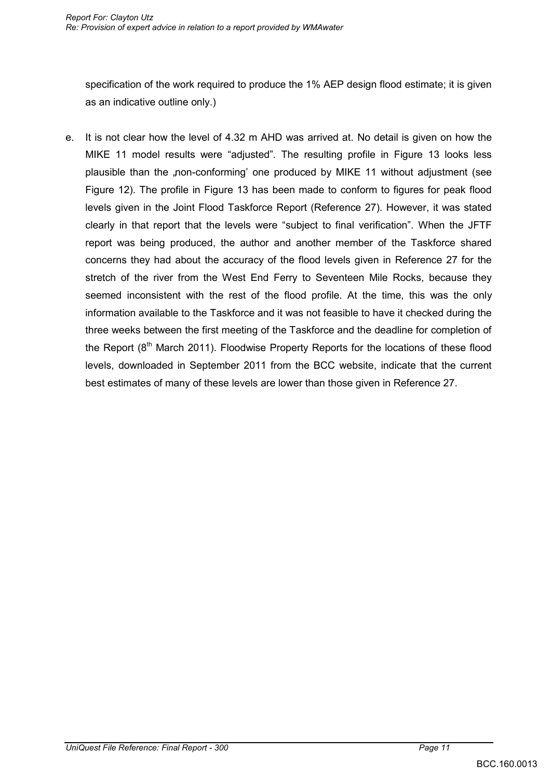specification of the work required to produce the 1% AEP design flood estimate; it is given as an indicative outline only.)

e. It is not clear how the level of 4.32 m AHD was arrived at. No detail is given on how the MIKE 11 model results were "adjusted". The resulting profile in Figure 13 looks less plausible than the "non-conforming" one produced by MIKE 11 without adjustment (see Figure 12). The profile in Figure 13 has been made to conform to figures for peak flood levels given in the Joint Flood Taskforce Report (Reference 27). However, it was stated clearly in that report that the levels were "subject to final verification". When the JFTF report was being produced, the author and another member of the Taskforce shared concerns they had about the accuracy of the flood levels given in Reference 27 for the stretch of the river from the West End Ferry to Seventeen Mile Rocks, because they seemed inconsistent with the rest of the flood profile. At the time, this was the only information available to the Taskforce and it was not feasible to have it checked during the three weeks between the first meeting of the Taskforce and the deadline for completion of the Report  $(8<sup>th</sup>$  March 2011). Floodwise Property Reports for the locations of these flood levels, downloaded in September 2011 from the BCC website, indicate that the current best estimates of many of these levels are lower than those given in Reference 27.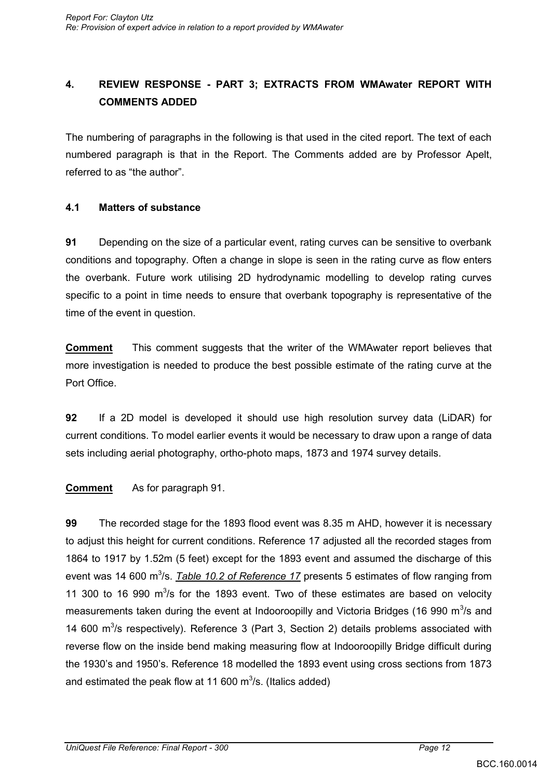## **4. REVIEW RESPONSE - PART 3; EXTRACTS FROM WMAwater REPORT WITH COMMENTS ADDED**

The numbering of paragraphs in the following is that used in the cited report. The text of each numbered paragraph is that in the Report. The Comments added are by Professor Apelt, referred to as "the author".

### **4.1 Matters of substance**

**91** Depending on the size of a particular event, rating curves can be sensitive to overbank conditions and topography. Often a change in slope is seen in the rating curve as flow enters the overbank. Future work utilising 2D hydrodynamic modelling to develop rating curves specific to a point in time needs to ensure that overbank topography is representative of the time of the event in question.

**Comment** This comment suggests that the writer of the WMAwater report believes that more investigation is needed to produce the best possible estimate of the rating curve at the Port Office.

**92** If a 2D model is developed it should use high resolution survey data (LiDAR) for current conditions. To model earlier events it would be necessary to draw upon a range of data sets including aerial photography, ortho-photo maps, 1873 and 1974 survey details.

**Comment** As for paragraph 91.

**99** The recorded stage for the 1893 flood event was 8.35 m AHD, however it is necessary to adjust this height for current conditions. Reference 17 adjusted all the recorded stages from 1864 to 1917 by 1.52m (5 feet) except for the 1893 event and assumed the discharge of this event was 14 600 m<sup>3</sup>/s. *Table 10.2 of Reference 17* presents 5 estimates of flow ranging from 11 300 to 16 990  $m^3/s$  for the 1893 event. Two of these estimates are based on velocity measurements taken during the event at Indooroopilly and Victoria Bridges (16 990 m<sup>3</sup>/s and 14 600  $\mathrm{m}^3$ /s respectively). Reference 3 (Part 3, Section 2) details problems associated with reverse flow on the inside bend making measuring flow at Indooroopilly Bridge difficult during the 1930"s and 1950"s. Reference 18 modelled the 1893 event using cross sections from 1873 and estimated the peak flow at 11 600  $\mathrm{m}^3$ /s. (Italics added)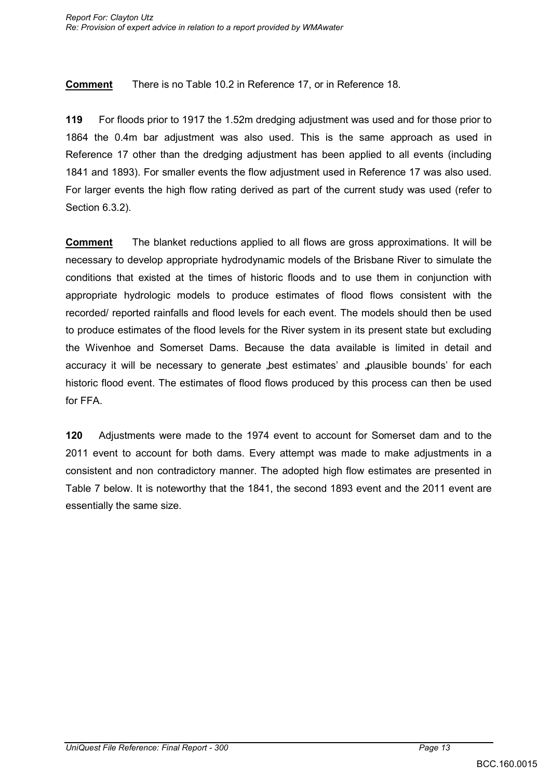**Comment** There is no Table 10.2 in Reference 17, or in Reference 18.

**119** For floods prior to 1917 the 1.52m dredging adjustment was used and for those prior to 1864 the 0.4m bar adjustment was also used. This is the same approach as used in Reference 17 other than the dredging adjustment has been applied to all events (including 1841 and 1893). For smaller events the flow adjustment used in Reference 17 was also used. For larger events the high flow rating derived as part of the current study was used (refer to Section 6.3.2).

**Comment** The blanket reductions applied to all flows are gross approximations. It will be necessary to develop appropriate hydrodynamic models of the Brisbane River to simulate the conditions that existed at the times of historic floods and to use them in conjunction with appropriate hydrologic models to produce estimates of flood flows consistent with the recorded/ reported rainfalls and flood levels for each event. The models should then be used to produce estimates of the flood levels for the River system in its present state but excluding the Wivenhoe and Somerset Dams. Because the data available is limited in detail and accuracy it will be necessary to generate "best estimates" and "plausible bounds" for each historic flood event. The estimates of flood flows produced by this process can then be used for FFA.

**120** Adjustments were made to the 1974 event to account for Somerset dam and to the 2011 event to account for both dams. Every attempt was made to make adjustments in a consistent and non contradictory manner. The adopted high flow estimates are presented in Table 7 below. It is noteworthy that the 1841, the second 1893 event and the 2011 event are essentially the same size.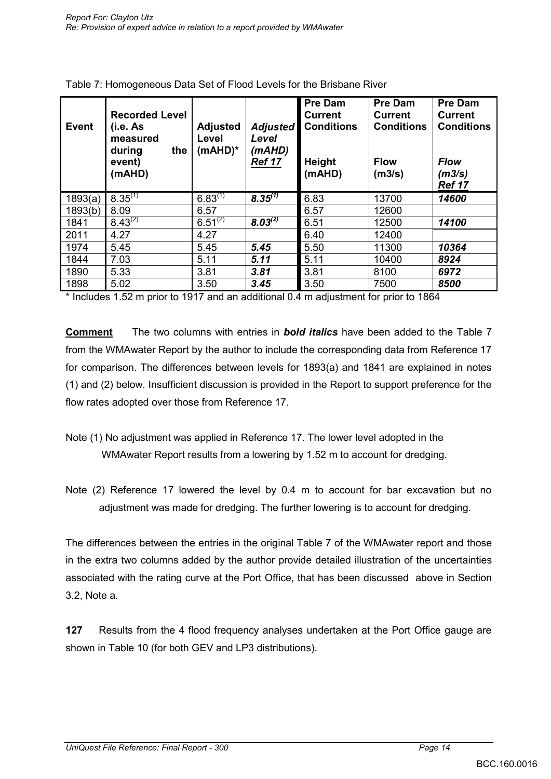| <b>Event</b> | <b>Recorded Level</b><br>(i.e. As<br>measured<br>the<br>during<br>event)<br>(mAHD) | <b>Adjusted</b><br>Level<br>$(mAHD)^*$ | <b>Adjusted</b><br>Level<br>(mAHD)<br><b>Ref 17</b> | <b>Pre Dam</b><br><b>Current</b><br><b>Conditions</b><br>Height<br>(mAHD) | <b>Pre Dam</b><br><b>Current</b><br><b>Conditions</b><br><b>Flow</b><br>(m3/s) | <b>Pre Dam</b><br><b>Current</b><br><b>Conditions</b><br><b>Flow</b><br>(m3/s)<br><b>Ref 17</b> |
|--------------|------------------------------------------------------------------------------------|----------------------------------------|-----------------------------------------------------|---------------------------------------------------------------------------|--------------------------------------------------------------------------------|-------------------------------------------------------------------------------------------------|
| 1893(a)      | $8.35^{(1)}$                                                                       | $6.83^{(1)}$                           | $8.35^{(1)}$                                        | 6.83                                                                      | 13700                                                                          | 14600                                                                                           |
| 1893(b)      | 8.09                                                                               | 6.57                                   |                                                     | 6.57                                                                      | 12600                                                                          |                                                                                                 |
| 1841         | $8.43^{(2)}$                                                                       | $6.51^{(2)}$                           | $8.03^{(2)}$                                        | 6.51                                                                      | 12500                                                                          | 14100                                                                                           |
| 2011         | 4.27                                                                               | 4.27                                   |                                                     | 6.40                                                                      | 12400                                                                          |                                                                                                 |
| 1974         | 5.45                                                                               | 5.45                                   | 5.45                                                | 5.50                                                                      | 11300                                                                          | 10364                                                                                           |
| 1844         | 7.03                                                                               | 5.11                                   | 5.11                                                | 5.11                                                                      | 10400                                                                          | 8924                                                                                            |
| 1890         | 5.33                                                                               | 3.81                                   | 3.81                                                | 3.81                                                                      | 8100                                                                           | 6972                                                                                            |
| 1898         | 5.02                                                                               | 3.50                                   | 3.45                                                | 3.50                                                                      | 7500                                                                           | 8500                                                                                            |

| Table 7: Homogeneous Data Set of Flood Levels for the Brisbane River |  |
|----------------------------------------------------------------------|--|
|----------------------------------------------------------------------|--|

\* Includes 1.52 m prior to 1917 and an additional 0.4 m adjustment for prior to 1864

**Comment** The two columns with entries in *bold italics* have been added to the Table 7 from the WMAwater Report by the author to include the corresponding data from Reference 17 for comparison. The differences between levels for 1893(a) and 1841 are explained in notes (1) and (2) below. Insufficient discussion is provided in the Report to support preference for the flow rates adopted over those from Reference 17.

- Note (1) No adjustment was applied in Reference 17. The lower level adopted in the WMAwater Report results from a lowering by 1.52 m to account for dredging.
- Note (2) Reference 17 lowered the level by 0.4 m to account for bar excavation but no adjustment was made for dredging. The further lowering is to account for dredging.

The differences between the entries in the original Table 7 of the WMAwater report and those in the extra two columns added by the author provide detailed illustration of the uncertainties associated with the rating curve at the Port Office, that has been discussed above in Section 3.2, Note a.

**127** Results from the 4 flood frequency analyses undertaken at the Port Office gauge are shown in Table 10 (for both GEV and LP3 distributions).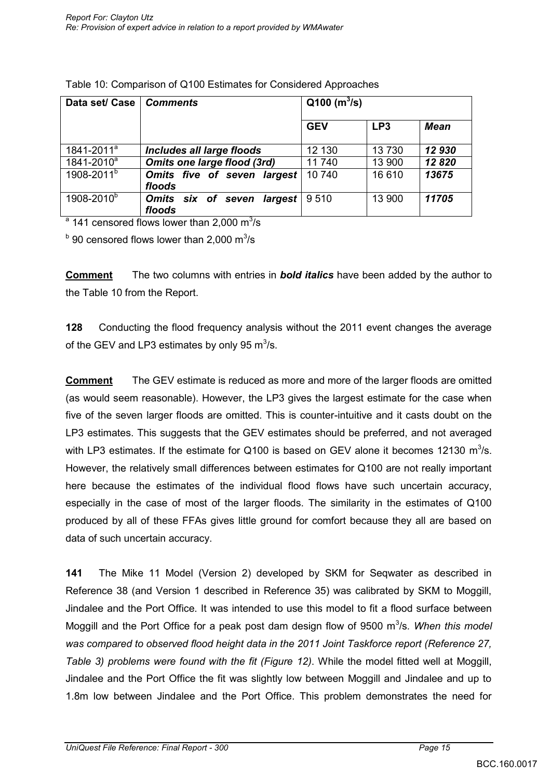| Data set/ Case         | <b>Comments</b>                         | $Q100$ (m <sup>3</sup> /s) |                 |             |
|------------------------|-----------------------------------------|----------------------------|-----------------|-------------|
|                        |                                         | <b>GEV</b>                 | LP <sub>3</sub> | <b>Mean</b> |
| 1841-2011 <sup>a</sup> | Includes all large floods               | 12 130                     | 13730           | 12930       |
| 1841-2010 <sup>a</sup> | <b>Omits one large flood (3rd)</b>      | 11740                      | 13 900          | 12820       |
| 1908-2011 <sup>b</sup> | Omits five of seven largest<br>floods   | 10740                      | 16 610          | 13675       |
| 1908-2010 <sup>b</sup> | Omits six of seven<br>largest<br>floods | 9510                       | 13 900          | 11705       |

| Table 10: Comparison of Q100 Estimates for Considered Approaches |  |
|------------------------------------------------------------------|--|
|------------------------------------------------------------------|--|

 $^{\circ}$  141 censored flows lower than 2,000 m $^{3}$ /s

 $^{\rm b}$  90 censored flows lower than 2,000 m $^{\rm 3/s}$ 

**Comment** The two columns with entries in *bold italics* have been added by the author to the Table 10 from the Report.

**128** Conducting the flood frequency analysis without the 2011 event changes the average of the GEV and LP3 estimates by only 95  $\text{m}^3$ /s.

**Comment** The GEV estimate is reduced as more and more of the larger floods are omitted (as would seem reasonable). However, the LP3 gives the largest estimate for the case when five of the seven larger floods are omitted. This is counter-intuitive and it casts doubt on the LP3 estimates. This suggests that the GEV estimates should be preferred, and not averaged with LP3 estimates. If the estimate for Q100 is based on GEV alone it becomes 12130  $m^3/s$ . However, the relatively small differences between estimates for Q100 are not really important here because the estimates of the individual flood flows have such uncertain accuracy, especially in the case of most of the larger floods. The similarity in the estimates of Q100 produced by all of these FFAs gives little ground for comfort because they all are based on data of such uncertain accuracy.

**141** The Mike 11 Model (Version 2) developed by SKM for Seqwater as described in Reference 38 (and Version 1 described in Reference 35) was calibrated by SKM to Moggill, Jindalee and the Port Office. It was intended to use this model to fit a flood surface between Moggill and the Port Office for a peak post dam design flow of 9500 m<sup>3</sup>/s. When this model *was compared to observed flood height data in the 2011 Joint Taskforce report (Reference 27, Table 3) problems were found with the fit (Figure 12)*. While the model fitted well at Moggill, Jindalee and the Port Office the fit was slightly low between Moggill and Jindalee and up to 1.8m low between Jindalee and the Port Office. This problem demonstrates the need for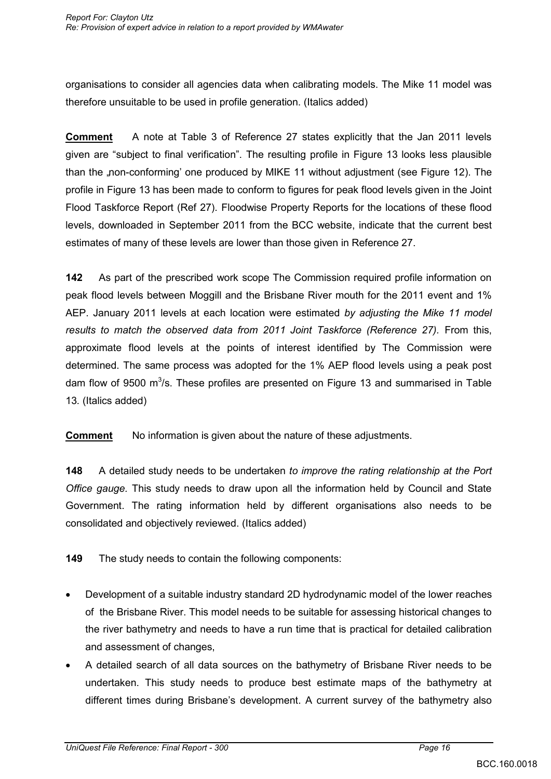organisations to consider all agencies data when calibrating models. The Mike 11 model was therefore unsuitable to be used in profile generation. (Italics added)

**Comment** A note at Table 3 of Reference 27 states explicitly that the Jan 2011 levels given are "subject to final verification". The resulting profile in Figure 13 looks less plausible than the "non-conforming' one produced by MIKE 11 without adjustment (see Figure 12). The profile in Figure 13 has been made to conform to figures for peak flood levels given in the Joint Flood Taskforce Report (Ref 27). Floodwise Property Reports for the locations of these flood levels, downloaded in September 2011 from the BCC website, indicate that the current best estimates of many of these levels are lower than those given in Reference 27.

**142** As part of the prescribed work scope The Commission required profile information on peak flood levels between Moggill and the Brisbane River mouth for the 2011 event and 1% AEP. January 2011 levels at each location were estimated *by adjusting the Mike 11 model results to match the observed data from 2011 Joint Taskforce (Reference 27).* From this, approximate flood levels at the points of interest identified by The Commission were determined. The same process was adopted for the 1% AEP flood levels using a peak post dam flow of 9500 m<sup>3</sup>/s. These profiles are presented on Figure 13 and summarised in Table 13*.* (Italics added)

**Comment** No information is given about the nature of these adjustments.

**148** A detailed study needs to be undertaken *to improve the rating relationship at the Port Office gauge.* This study needs to draw upon all the information held by Council and State Government. The rating information held by different organisations also needs to be consolidated and objectively reviewed. (Italics added)

**149** The study needs to contain the following components:

- Development of a suitable industry standard 2D hydrodynamic model of the lower reaches of the Brisbane River. This model needs to be suitable for assessing historical changes to the river bathymetry and needs to have a run time that is practical for detailed calibration and assessment of changes,
- A detailed search of all data sources on the bathymetry of Brisbane River needs to be undertaken. This study needs to produce best estimate maps of the bathymetry at different times during Brisbane"s development. A current survey of the bathymetry also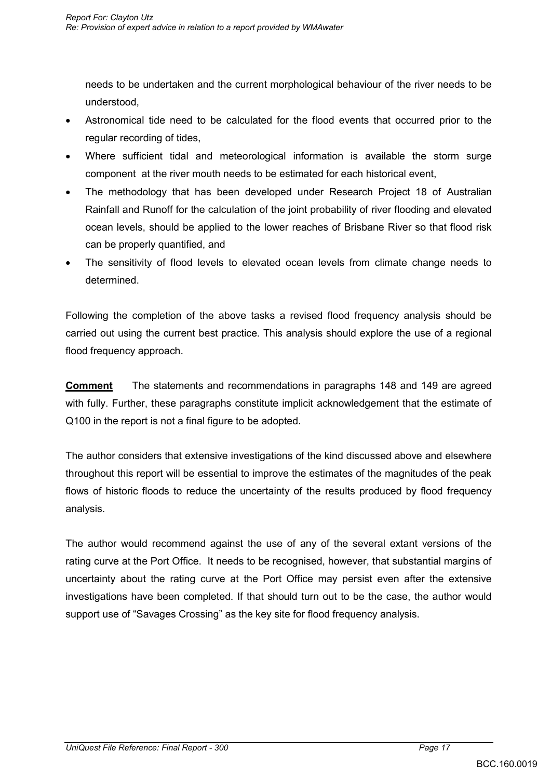needs to be undertaken and the current morphological behaviour of the river needs to be understood,

- Astronomical tide need to be calculated for the flood events that occurred prior to the regular recording of tides,
- Where sufficient tidal and meteorological information is available the storm surge component at the river mouth needs to be estimated for each historical event,
- The methodology that has been developed under Research Project 18 of Australian Rainfall and Runoff for the calculation of the joint probability of river flooding and elevated ocean levels, should be applied to the lower reaches of Brisbane River so that flood risk can be properly quantified, and
- The sensitivity of flood levels to elevated ocean levels from climate change needs to determined.

Following the completion of the above tasks a revised flood frequency analysis should be carried out using the current best practice. This analysis should explore the use of a regional flood frequency approach.

**Comment** The statements and recommendations in paragraphs 148 and 149 are agreed with fully. Further, these paragraphs constitute implicit acknowledgement that the estimate of Q100 in the report is not a final figure to be adopted.

The author considers that extensive investigations of the kind discussed above and elsewhere throughout this report will be essential to improve the estimates of the magnitudes of the peak flows of historic floods to reduce the uncertainty of the results produced by flood frequency analysis.

The author would recommend against the use of any of the several extant versions of the rating curve at the Port Office. It needs to be recognised, however, that substantial margins of uncertainty about the rating curve at the Port Office may persist even after the extensive investigations have been completed. If that should turn out to be the case, the author would support use of "Savages Crossing" as the key site for flood frequency analysis.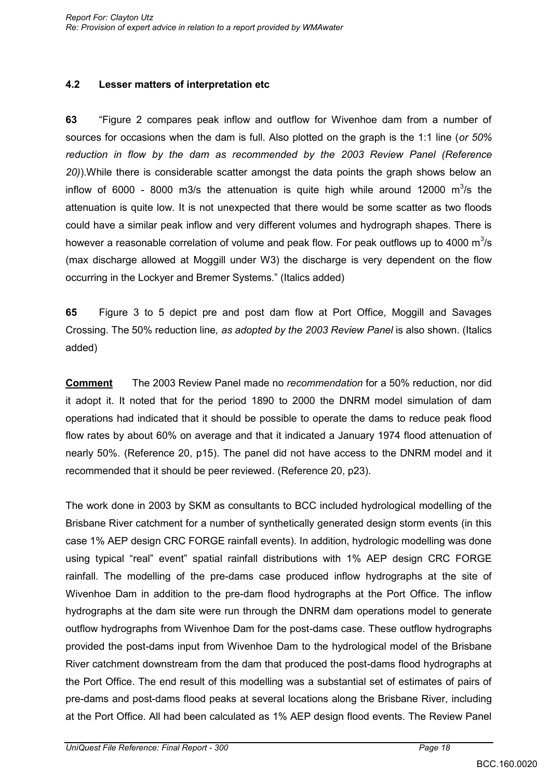### **4.2 Lesser matters of interpretation etc**

**63** "Figure 2 compares peak inflow and outflow for Wivenhoe dam from a number of sources for occasions when the dam is full. Also plotted on the graph is the 1:1 line (*or 50% reduction in flow by the dam as recommended by the 2003 Review Panel (Reference 20)*).While there is considerable scatter amongst the data points the graph shows below an inflow of 6000 - 8000 m3/s the attenuation is quite high while around 12000 m<sup>3</sup>/s the attenuation is quite low. It is not unexpected that there would be some scatter as two floods could have a similar peak inflow and very different volumes and hydrograph shapes. There is however a reasonable correlation of volume and peak flow. For peak outflows up to 4000  $\text{m}^3\text{/s}$ (max discharge allowed at Moggill under W3) the discharge is very dependent on the flow occurring in the Lockyer and Bremer Systems." (Italics added)

**65** Figure 3 to 5 depict pre and post dam flow at Port Office, Moggill and Savages Crossing. The 50% reduction line*, as adopted by the 2003 Review Panel* is also shown. (Italics added)

**Comment** The 2003 Review Panel made no *recommendation* for a 50% reduction, nor did it adopt it. It noted that for the period 1890 to 2000 the DNRM model simulation of dam operations had indicated that it should be possible to operate the dams to reduce peak flood flow rates by about 60% on average and that it indicated a January 1974 flood attenuation of nearly 50%. (Reference 20, p15). The panel did not have access to the DNRM model and it recommended that it should be peer reviewed. (Reference 20, p23).

The work done in 2003 by SKM as consultants to BCC included hydrological modelling of the Brisbane River catchment for a number of synthetically generated design storm events (in this case 1% AEP design CRC FORGE rainfall events). In addition, hydrologic modelling was done using typical "real" event" spatial rainfall distributions with 1% AEP design CRC FORGE rainfall. The modelling of the pre-dams case produced inflow hydrographs at the site of Wivenhoe Dam in addition to the pre-dam flood hydrographs at the Port Office. The inflow hydrographs at the dam site were run through the DNRM dam operations model to generate outflow hydrographs from Wivenhoe Dam for the post-dams case. These outflow hydrographs provided the post-dams input from Wivenhoe Dam to the hydrological model of the Brisbane River catchment downstream from the dam that produced the post-dams flood hydrographs at the Port Office. The end result of this modelling was a substantial set of estimates of pairs of pre-dams and post-dams flood peaks at several locations along the Brisbane River, including at the Port Office. All had been calculated as 1% AEP design flood events. The Review Panel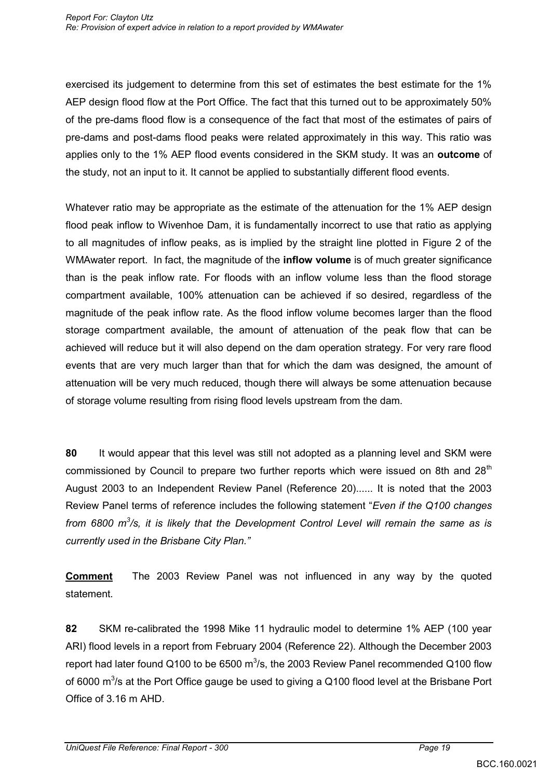exercised its judgement to determine from this set of estimates the best estimate for the 1% AEP design flood flow at the Port Office. The fact that this turned out to be approximately 50% of the pre-dams flood flow is a consequence of the fact that most of the estimates of pairs of pre-dams and post-dams flood peaks were related approximately in this way. This ratio was applies only to the 1% AEP flood events considered in the SKM study. It was an **outcome** of the study, not an input to it. It cannot be applied to substantially different flood events.

Whatever ratio may be appropriate as the estimate of the attenuation for the 1% AEP design flood peak inflow to Wivenhoe Dam, it is fundamentally incorrect to use that ratio as applying to all magnitudes of inflow peaks, as is implied by the straight line plotted in Figure 2 of the WMAwater report. In fact, the magnitude of the **inflow volume** is of much greater significance than is the peak inflow rate. For floods with an inflow volume less than the flood storage compartment available, 100% attenuation can be achieved if so desired, regardless of the magnitude of the peak inflow rate. As the flood inflow volume becomes larger than the flood storage compartment available, the amount of attenuation of the peak flow that can be achieved will reduce but it will also depend on the dam operation strategy. For very rare flood events that are very much larger than that for which the dam was designed, the amount of attenuation will be very much reduced, though there will always be some attenuation because of storage volume resulting from rising flood levels upstream from the dam.

**80** It would appear that this level was still not adopted as a planning level and SKM were commissioned by Council to prepare two further reports which were issued on 8th and 28 $<sup>th</sup>$ </sup> August 2003 to an Independent Review Panel (Reference 20)...... It is noted that the 2003 Review Panel terms of reference includes the following statement "*Even if the Q100 changes*  from 6800 m<sup>3</sup>/s, it is likely that the Development Control Level will remain the same as is *currently used in the Brisbane City Plan."* 

**Comment** The 2003 Review Panel was not influenced in any way by the quoted statement.

**82** SKM re-calibrated the 1998 Mike 11 hydraulic model to determine 1% AEP (100 year ARI) flood levels in a report from February 2004 (Reference 22). Although the December 2003 report had later found Q100 to be 6500 m<sup>3</sup>/s, the 2003 Review Panel recommended Q100 flow of 6000  $\mathrm{m}^3$ /s at the Port Office gauge be used to giving a Q100 flood level at the Brisbane Port Office of 3.16 m AHD.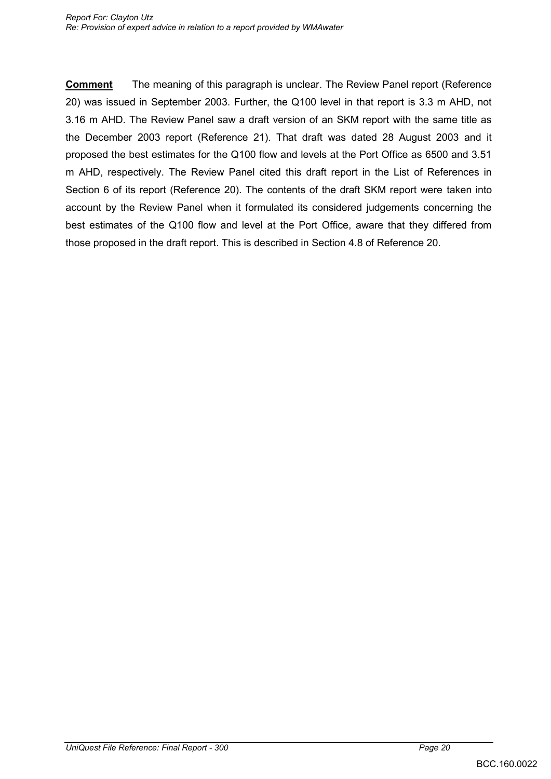**Comment** The meaning of this paragraph is unclear. The Review Panel report (Reference 20) was issued in September 2003. Further, the Q100 level in that report is 3.3 m AHD, not 3.16 m AHD. The Review Panel saw a draft version of an SKM report with the same title as the December 2003 report (Reference 21). That draft was dated 28 August 2003 and it proposed the best estimates for the Q100 flow and levels at the Port Office as 6500 and 3.51 m AHD, respectively. The Review Panel cited this draft report in the List of References in Section 6 of its report (Reference 20). The contents of the draft SKM report were taken into account by the Review Panel when it formulated its considered judgements concerning the best estimates of the Q100 flow and level at the Port Office, aware that they differed from those proposed in the draft report. This is described in Section 4.8 of Reference 20.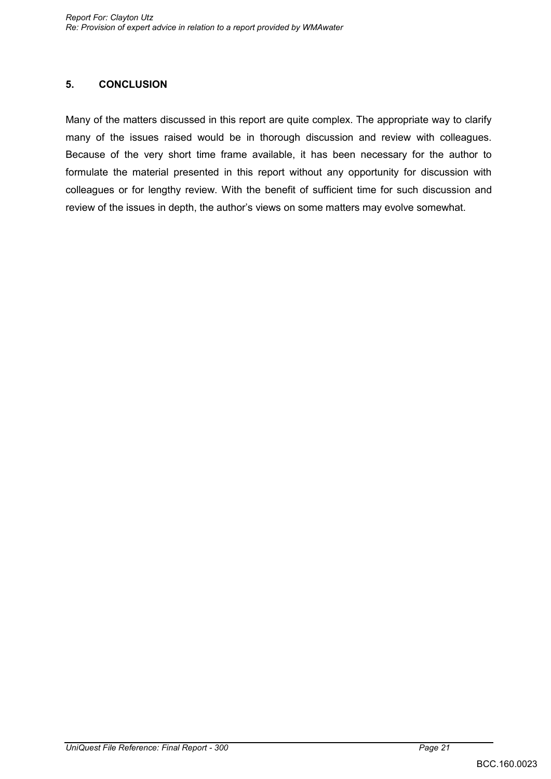### **5. CONCLUSION**

Many of the matters discussed in this report are quite complex. The appropriate way to clarify many of the issues raised would be in thorough discussion and review with colleagues. Because of the very short time frame available, it has been necessary for the author to formulate the material presented in this report without any opportunity for discussion with colleagues or for lengthy review. With the benefit of sufficient time for such discussion and review of the issues in depth, the author"s views on some matters may evolve somewhat.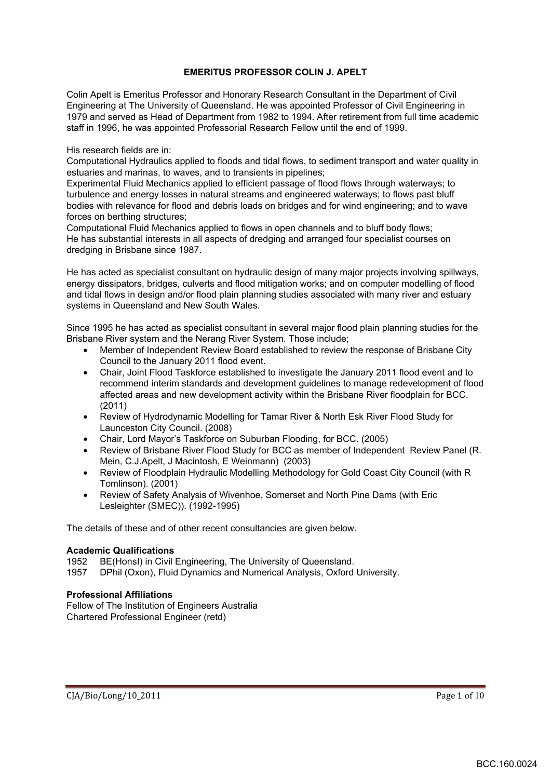#### **EMERITUS PROFESSOR COLIN J. APELT**

Colin Apelt is Emeritus Professor and Honorary Research Consultant in the Department of Civil Engineering at The University of Queensland. He was appointed Professor of Civil Engineering in 1979 and served as Head of Department from 1982 to 1994. After retirement from full time academic staff in 1996, he was appointed Professorial Research Fellow until the end of 1999.

His research fields are in:

Computational Hydraulics applied to floods and tidal flows, to sediment transport and water quality in estuaries and marinas, to waves, and to transients in pipelines;

Experimental Fluid Mechanics applied to efficient passage of flood flows through waterways; to turbulence and energy losses in natural streams and engineered waterways; to flows past bluff bodies with relevance for flood and debris loads on bridges and for wind engineering; and to wave forces on berthing structures;

Computational Fluid Mechanics applied to flows in open channels and to bluff body flows; He has substantial interests in all aspects of dredging and arranged four specialist courses on dredging in Brisbane since 1987.

He has acted as specialist consultant on hydraulic design of many major projects involving spillways, energy dissipators, bridges, culverts and flood mitigation works; and on computer modelling of flood and tidal flows in design and/or flood plain planning studies associated with many river and estuary systems in Queensland and New South Wales.

Since 1995 he has acted as specialist consultant in several major flood plain planning studies for the Brisbane River system and the Nerang River System. Those include;

- Member of Independent Review Board established to review the response of Brisbane City Council to the January 2011 flood event.
- Chair, Joint Flood Taskforce established to investigate the January 2011 flood event and to recommend interim standards and development guidelines to manage redevelopment of flood affected areas and new development activity within the Brisbane River floodplain for BCC. (2011)
- Review of Hydrodynamic Modelling for Tamar River & North Esk River Flood Study for Launceston City Council. (2008)
- Chair, Lord Mayor's Taskforce on Suburban Flooding, for BCC. (2005)
- Review of Brisbane River Flood Study for BCC as member of Independent Review Panel (R. Mein, C.J.Apelt, J Macintosh, E Weinmann) (2003)
- Review of Floodplain Hydraulic Modelling Methodology for Gold Coast City Council (with R Tomlinson). (2001)
- Review of Safety Analysis of Wivenhoe, Somerset and North Pine Dams (with Eric Lesleighter (SMEC)). (1992-1995)

The details of these and of other recent consultancies are given below.

#### **Academic Qualifications**

1952 BE(HonsI) in Civil Engineering, The University of Queensland.<br>1957 DPhil (Oxon), Fluid Dynamics and Numerical Analysis, Oxford

DPhil (Oxon), Fluid Dynamics and Numerical Analysis, Oxford University.

#### **Professional Affiliations**

Fellow of The Institution of Engineers Australia Chartered Professional Engineer (retd)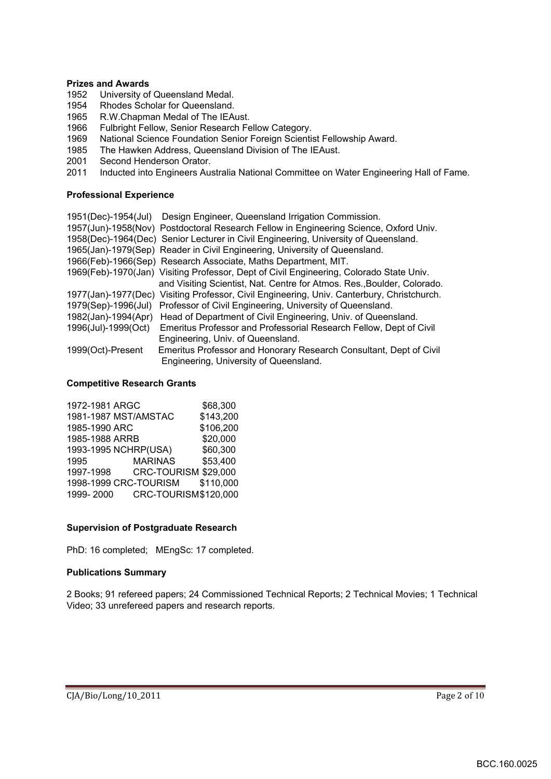#### **Prizes and Awards**

- 1952 University of Queensland Medal.
- 1954 Rhodes Scholar for Queensland.
- 1965 R.W.Chapman Medal of The IEAust.
- 1966 Fulbright Fellow, Senior Research Fellow Category.<br>1969 National Science Foundation Senior Foreign Scientis
- 1969 National Science Foundation Senior Foreign Scientist Fellowship Award.<br>1985 The Hawken Address. Queensland Division of The IEAust.
- The Hawken Address, Queensland Division of The IEAust.
- 2001 Second Henderson Orator.<br>2011 Inducted into Engineers Aus
- Inducted into Engineers Australia National Committee on Water Engineering Hall of Fame.

#### **Professional Experience**

|                     | 1951(Dec)-1954(Jul) Design Engineer, Queensland Irrigation Commission.                     |
|---------------------|--------------------------------------------------------------------------------------------|
|                     | 1957(Jun)-1958(Nov) Postdoctoral Research Fellow in Engineering Science, Oxford Univ.      |
|                     | 1958(Dec)-1964(Dec) Senior Lecturer in Civil Engineering, University of Queensland.        |
|                     | 1965(Jan)-1979(Sep) Reader in Civil Engineering, University of Queensland.                 |
|                     | 1966(Feb)-1966(Sep) Research Associate, Maths Department, MIT.                             |
|                     | 1969(Feb)-1970(Jan) Visiting Professor, Dept of Civil Engineering, Colorado State Univ.    |
|                     | and Visiting Scientist, Nat. Centre for Atmos. Res., Boulder, Colorado.                    |
|                     | 1977(Jan)-1977(Dec) Visiting Professor, Civil Engineering, Univ. Canterbury, Christchurch. |
| 1979(Sep)-1996(Jul) | Professor of Civil Engineering, University of Queensland.                                  |
|                     | 1982(Jan)-1994(Apr) Head of Department of Civil Engineering, Univ. of Queensland.          |
| 1996(Jul)-1999(Oct) | Emeritus Professor and Professorial Research Fellow, Dept of Civil                         |
|                     | Engineering, Univ. of Queensland.                                                          |
| 1999(Oct)-Present   | Emeritus Professor and Honorary Research Consultant, Dept of Civil                         |
|                     | Engineering, University of Queensland.                                                     |

#### **Competitive Research Grants**

| 1972-1981 ARGC |                       | \$68,300  |
|----------------|-----------------------|-----------|
|                | 1981-1987 MST/AMSTAC  | \$143,200 |
| 1985-1990 ARC  |                       | \$106,200 |
| 1985-1988 ARRB |                       | \$20,000  |
|                | 1993-1995 NCHRP(USA)  | \$60,300  |
| 1995           | <b>MARINAS</b>        | \$53,400  |
| 1997-1998      | CRC-TOURISM \$29,000  |           |
|                | 1998-1999 CRC-TOURISM | \$110,000 |
| 1999-2000      | CRC-TOURISM\$120,000  |           |

#### **Supervision of Postgraduate Research**

PhD: 16 completed; MEngSc: 17 completed.

#### **Publications Summary**

2 Books; 91 refereed papers; 24 Commissioned Technical Reports; 2 Technical Movies; 1 Technical Video; 33 unrefereed papers and research reports.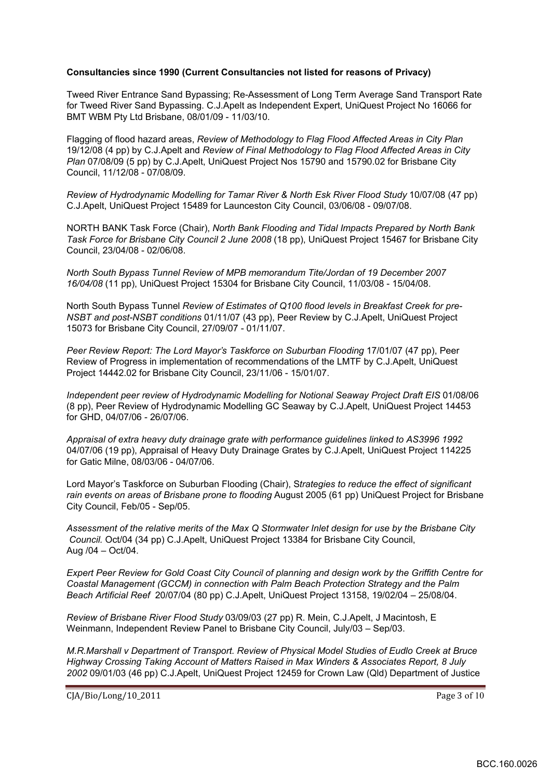#### **Consultancies since 1990 (Current Consultancies not listed for reasons of Privacy)**

Tweed River Entrance Sand Bypassing; Re-Assessment of Long Term Average Sand Transport Rate for Tweed River Sand Bypassing. C.J.Apelt as Independent Expert, UniQuest Project No 16066 for BMT WBM Pty Ltd Brisbane, 08/01/09 - 11/03/10.

Flagging of flood hazard areas, *Review of Methodology to Flag Flood Affected Areas in City Plan* 19/12/08 (4 pp) by C.J.Apelt and *Review of Final Methodology to Flag Flood Affected Areas in City Plan* 07/08/09 (5 pp) by C.J.Apelt, UniQuest Project Nos 15790 and 15790.02 for Brisbane City Council, 11/12/08 - 07/08/09.

*Review of Hydrodynamic Modelling for Tamar River & North Esk River Flood Study* 10/07/08 (47 pp) C.J.Apelt, UniQuest Project 15489 for Launceston City Council, 03/06/08 - 09/07/08.

NORTH BANK Task Force (Chair), *North Bank Flooding and Tidal Impacts Prepared by North Bank Task Force for Brisbane City Council 2 June 2008* (18 pp), UniQuest Project 15467 for Brisbane City Council, 23/04/08 - 02/06/08.

*North South Bypass Tunnel Review of MPB memorandum Tite/Jordan of 19 December 2007 16/04/08* (11 pp), UniQuest Project 15304 for Brisbane City Council, 11/03/08 - 15/04/08.

North South Bypass Tunnel *Review of Estimates of Q100 flood levels in Breakfast Creek for pre-NSBT and post-NSBT conditions* 01/11/07 (43 pp), Peer Review by C.J.Apelt, UniQuest Project 15073 for Brisbane City Council, 27/09/07 - 01/11/07.

*Peer Review Report: The Lord Mayor's Taskforce on Suburban Flooding* 17/01/07 (47 pp), Peer Review of Progress in implementation of recommendations of the LMTF by C.J.Apelt, UniQuest Project 14442.02 for Brisbane City Council, 23/11/06 - 15/01/07.

*Independent peer review of Hydrodynamic Modelling for Notional Seaway Project Draft EIS* 01/08/06 (8 pp), Peer Review of Hydrodynamic Modelling GC Seaway by C.J.Apelt, UniQuest Project 14453 for GHD, 04/07/06 - 26/07/06.

*Appraisal of extra heavy duty drainage grate with performance guidelines linked to AS3996 1992* 04/07/06 (19 pp), Appraisal of Heavy Duty Drainage Grates by C.J.Apelt, UniQuest Project 114225 for Gatic Milne, 08/03/06 - 04/07/06.

Lord Mayor's Taskforce on Suburban Flooding (Chair), S*trategies to reduce the effect of significant rain events on areas of Brisbane prone to flooding* August 2005 (61 pp) UniQuest Project for Brisbane City Council, Feb/05 - Sep/05.

*Assessment of the relative merits of the Max Q Stormwater Inlet design for use by the Brisbane City Council.* Oct/04 (34 pp) C.J.Apelt, UniQuest Project 13384 for Brisbane City Council, Aug /04 – Oct/04.

*Expert Peer Review for Gold Coast City Council of planning and design work by the Griffith Centre for Coastal Management (GCCM) in connection with Palm Beach Protection Strategy and the Palm Beach Artificial Reef* 20/07/04 (80 pp) C.J.Apelt, UniQuest Project 13158, 19/02/04 – 25/08/04.

*Review of Brisbane River Flood Study* 03/09/03 (27 pp) R. Mein, C.J.Apelt, J Macintosh, E Weinmann, Independent Review Panel to Brisbane City Council, July/03 – Sep/03.

*M.R.Marshall v Department of Transport. Review of Physical Model Studies of Eudlo Creek at Bruce Highway Crossing Taking Account of Matters Raised in Max Winders & Associates Report, 8 July 2002* 09/01/03 (46 pp) C.J.Apelt, UniQuest Project 12459 for Crown Law (Qld) Department of Justice

 $C[A/Bio/Long/10_2011$  Page 3 of 10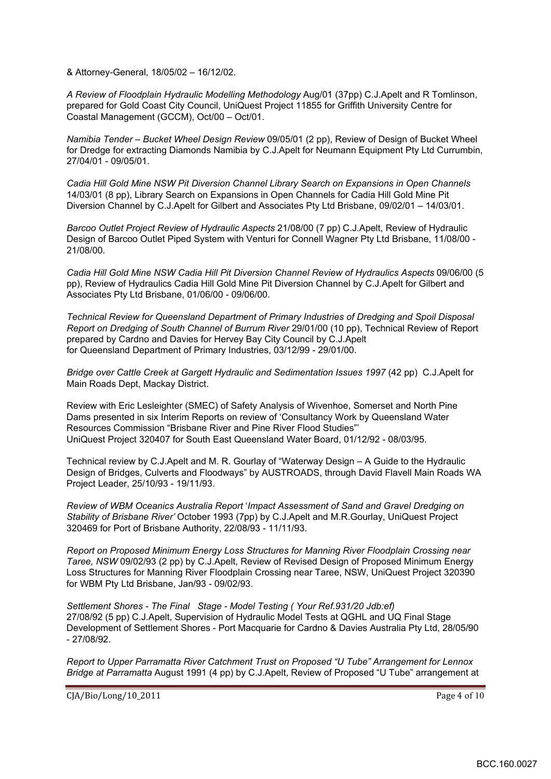& Attorney-General, 18/05/02 – 16/12/02.

*A Review of Floodplain Hydraulic Modelling Methodology* Aug/01 (37pp) C.J.Apelt and R Tomlinson, prepared for Gold Coast City Council, UniQuest Project 11855 for Griffith University Centre for Coastal Management (GCCM), Oct/00 – Oct/01.

*Namibia Tender – Bucket Wheel Design Review* 09/05/01 (2 pp), Review of Design of Bucket Wheel for Dredge for extracting Diamonds Namibia by C.J.Apelt for Neumann Equipment Pty Ltd Currumbin, 27/04/01 - 09/05/01.

*Cadia Hill Gold Mine NSW Pit Diversion Channel Library Search on Expansions in Open Channels*  14/03/01 (8 pp), Library Search on Expansions in Open Channels for Cadia Hill Gold Mine Pit Diversion Channel by C.J.Apelt for Gilbert and Associates Pty Ltd Brisbane, 09/02/01 – 14/03/01.

*Barcoo Outlet Project Review of Hydraulic Aspects* 21/08/00 (7 pp) C.J.Apelt, Review of Hydraulic Design of Barcoo Outlet Piped System with Venturi for Connell Wagner Pty Ltd Brisbane, 11/08/00 - 21/08/00.

*Cadia Hill Gold Mine NSW Cadia Hill Pit Diversion Channel Review of Hydraulics Aspects* 09/06/00 (5 pp), Review of Hydraulics Cadia Hill Gold Mine Pit Diversion Channel by C.J.Apelt for Gilbert and Associates Pty Ltd Brisbane, 01/06/00 - 09/06/00.

*Technical Review for Queensland Department of Primary Industries of Dredging and Spoil Disposal Report on Dredging of South Channel of Burrum River* 29/01/00 (10 pp), Technical Review of Report prepared by Cardno and Davies for Hervey Bay City Council by C.J.Apelt for Queensland Department of Primary Industries, 03/12/99 - 29/01/00.

*Bridge over Cattle Creek at Gargett Hydraulic and Sedimentation Issues 1997* (42 pp) C.J.Apelt for Main Roads Dept, Mackay District.

Review with Eric Lesleighter (SMEC) of Safety Analysis of Wivenhoe, Somerset and North Pine Dams presented in six Interim Reports on review of 'Consultancy Work by Queensland Water Resources Commission "Brisbane River and Pine River Flood Studies"' UniQuest Project 320407 for South East Queensland Water Board, 01/12/92 - 08/03/95.

Technical review by C.J.Apelt and M. R. Gourlay of "Waterway Design – A Guide to the Hydraulic Design of Bridges, Culverts and Floodways" by AUSTROADS, through David Flavell Main Roads WA Project Leader, 25/10/93 - 19/11/93.

*Review of WBM Oceanics Australia Report* '*Impact Assessment of Sand and Gravel Dredging on Stability of Brisbane River'* October 1993 (7pp) by C.J.Apelt and M.R.Gourlay, UniQuest Project 320469 for Port of Brisbane Authority, 22/08/93 - 11/11/93.

*Report on Proposed Minimum Energy Loss Structures for Manning River Floodplain Crossing near Taree, NSW* 09/02/93 (2 pp) by C.J.Apelt, Review of Revised Design of Proposed Minimum Energy Loss Structures for Manning River Floodplain Crossing near Taree, NSW, UniQuest Project 320390 for WBM Pty Ltd Brisbane, Jan/93 - 09/02/93.

*Settlement Shores - The Final Stage - Model Testing ( Your Ref.931/20 Jdb:ef)*  27/08/92 (5 pp) C.J.Apelt, Supervision of Hydraulic Model Tests at QGHL and UQ Final Stage Development of Settlement Shores - Port Macquarie for Cardno & Davies Australia Pty Ltd, 28/05/90 - 27/08/92.

*Report to Upper Parramatta River Catchment Trust on Proposed "U Tube" Arrangement for Lennox Bridge at Parramatta* August 1991 (4 pp) by C.J.Apelt, Review of Proposed "U Tube" arrangement at

 $C[A/Bio/Long/10_2011$  Page 4 of 10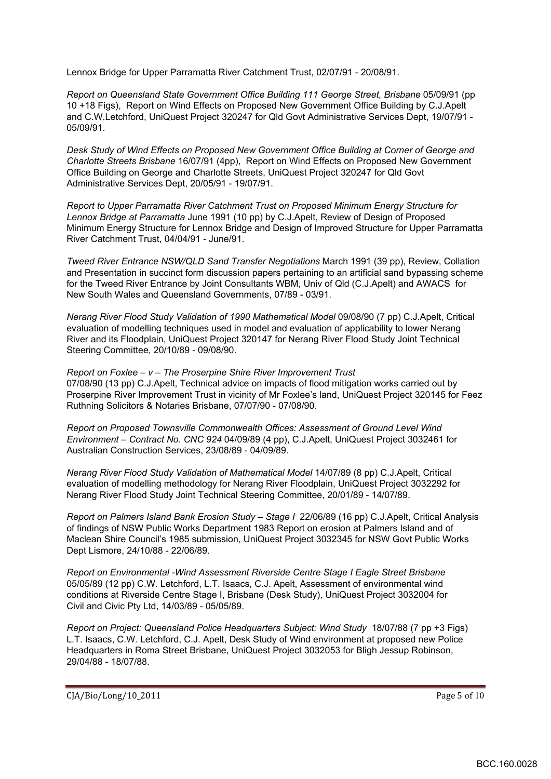Lennox Bridge for Upper Parramatta River Catchment Trust, 02/07/91 - 20/08/91.

*Report on Queensland State Government Office Building 111 George Street, Brisbane* 05/09/91 (pp 10 +18 Figs), Report on Wind Effects on Proposed New Government Office Building by C.J.Apelt and C.W.Letchford, UniQuest Project 320247 for Qld Govt Administrative Services Dept, 19/07/91 - 05/09/91.

*Desk Study of Wind Effects on Proposed New Government Office Building at Corner of George and Charlotte Streets Brisbane* 16/07/91 (4pp), Report on Wind Effects on Proposed New Government Office Building on George and Charlotte Streets, UniQuest Project 320247 for Qld Govt Administrative Services Dept, 20/05/91 - 19/07/91.

*Report to Upper Parramatta River Catchment Trust on Proposed Minimum Energy Structure for Lennox Bridge at Parramatta* June 1991 (10 pp) by C.J.Apelt, Review of Design of Proposed Minimum Energy Structure for Lennox Bridge and Design of Improved Structure for Upper Parramatta River Catchment Trust, 04/04/91 - June/91.

*Tweed River Entrance NSW/QLD Sand Transfer Negotiations* March 1991 (39 pp), Review, Collation and Presentation in succinct form discussion papers pertaining to an artificial sand bypassing scheme for the Tweed River Entrance by Joint Consultants WBM, Univ of Qld (C.J.Apelt) and AWACS for New South Wales and Queensland Governments, 07/89 - 03/91.

*Nerang River Flood Study Validation of 1990 Mathematical Model* 09/08/90 (7 pp) C.J.Apelt, Critical evaluation of modelling techniques used in model and evaluation of applicability to lower Nerang River and its Floodplain, UniQuest Project 320147 for Nerang River Flood Study Joint Technical Steering Committee, 20/10/89 - 09/08/90.

*Report on Foxlee – v – The Proserpine Shire River Improvement Trust*  07/08/90 (13 pp) C.J.Apelt, Technical advice on impacts of flood mitigation works carried out by Proserpine River Improvement Trust in vicinity of Mr Foxlee's land, UniQuest Project 320145 for Feez Ruthning Solicitors & Notaries Brisbane, 07/07/90 - 07/08/90.

*Report on Proposed Townsville Commonwealth Offices: Assessment of Ground Level Wind Environment – Contract No. CNC 924* 04/09/89 (4 pp), C.J.Apelt, UniQuest Project 3032461 for Australian Construction Services, 23/08/89 - 04/09/89.

*Nerang River Flood Study Validation of Mathematical Model* 14/07/89 (8 pp) C.J.Apelt, Critical evaluation of modelling methodology for Nerang River Floodplain, UniQuest Project 3032292 for Nerang River Flood Study Joint Technical Steering Committee, 20/01/89 - 14/07/89.

*Report on Palmers Island Bank Erosion Study – Stage I* 22/06/89 (16 pp) C.J.Apelt, Critical Analysis of findings of NSW Public Works Department 1983 Report on erosion at Palmers Island and of Maclean Shire Council's 1985 submission, UniQuest Project 3032345 for NSW Govt Public Works Dept Lismore, 24/10/88 - 22/06/89.

*Report on Environmental -Wind Assessment Riverside Centre Stage I Eagle Street Brisbane*  05/05/89 (12 pp) C.W. Letchford, L.T. Isaacs, C.J. Apelt, Assessment of environmental wind conditions at Riverside Centre Stage I, Brisbane (Desk Study), UniQuest Project 3032004 for Civil and Civic Pty Ltd, 14/03/89 - 05/05/89.

*Report on Project: Queensland Police Headquarters Subject: Wind Study* 18/07/88 (7 pp +3 Figs) L.T. Isaacs, C.W. Letchford, C.J. Apelt, Desk Study of Wind environment at proposed new Police Headquarters in Roma Street Brisbane, UniQuest Project 3032053 for Bligh Jessup Robinson, 29/04/88 - 18/07/88.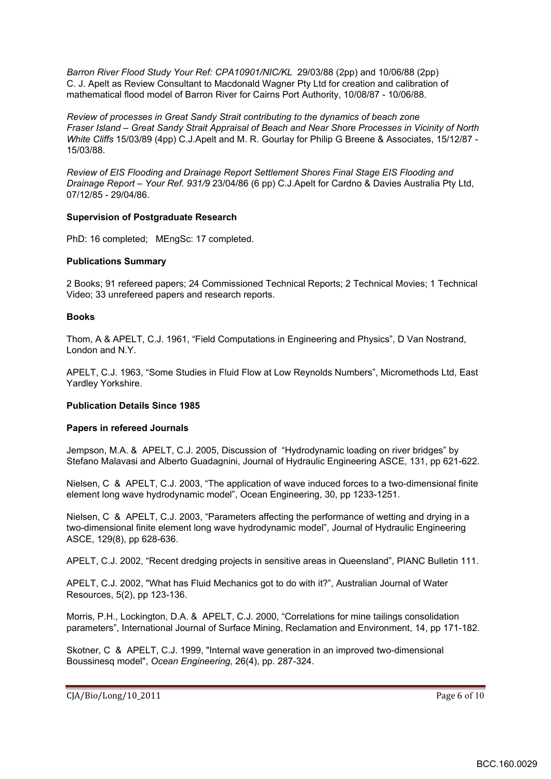*Barron River Flood Study Your Ref: CPA10901/NIC/KL* 29/03/88 (2pp) and 10/06/88 (2pp) C. J. Apelt as Review Consultant to Macdonald Wagner Pty Ltd for creation and calibration of mathematical flood model of Barron River for Cairns Port Authority, 10/08/87 - 10/06/88.

*Review of processes in Great Sandy Strait contributing to the dynamics of beach zone Fraser Island – Great Sandy Strait Appraisal of Beach and Near Shore Processes in Vicinity of North White Cliffs* 15/03/89 (4pp) C.J.Apelt and M. R. Gourlay for Philip G Breene & Associates, 15/12/87 - 15/03/88.

*Review of EIS Flooding and Drainage Report Settlement Shores Final Stage EIS Flooding and Drainage Report – Your Ref. 931/9* 23/04/86 (6 pp) C.J.Apelt for Cardno & Davies Australia Pty Ltd, 07/12/85 - 29/04/86.

#### **Supervision of Postgraduate Research**

PhD: 16 completed; MEngSc: 17 completed.

#### **Publications Summary**

2 Books; 91 refereed papers; 24 Commissioned Technical Reports; 2 Technical Movies; 1 Technical Video; 33 unrefereed papers and research reports.

#### **Books**

Thom, A & APELT, C.J. 1961, "Field Computations in Engineering and Physics", D Van Nostrand, London and N.Y.

APELT, C.J. 1963, "Some Studies in Fluid Flow at Low Reynolds Numbers", Micromethods Ltd, East Yardley Yorkshire.

#### **Publication Details Since 1985**

#### **Papers in refereed Journals**

Jempson, M.A. & APELT, C.J. 2005, Discussion of "Hydrodynamic loading on river bridges" by Stefano Malavasi and Alberto Guadagnini, Journal of Hydraulic Engineering ASCE, 131, pp 621-622.

Nielsen, C & APELT, C.J. 2003, "The application of wave induced forces to a two-dimensional finite element long wave hydrodynamic model", Ocean Engineering, 30, pp 1233-1251.

Nielsen, C & APELT, C.J. 2003, "Parameters affecting the performance of wetting and drying in a two-dimensional finite element long wave hydrodynamic model", Journal of Hydraulic Engineering ASCE, 129(8), pp 628-636.

APELT, C.J. 2002, "Recent dredging projects in sensitive areas in Queensland", PIANC Bulletin 111.

APELT, C.J. 2002, "What has Fluid Mechanics got to do with it?", Australian Journal of Water Resources, 5(2), pp 123-136.

Morris, P.H., Lockington, D.A. & APELT, C.J. 2000, "Correlations for mine tailings consolidation parameters", International Journal of Surface Mining, Reclamation and Environment, 14, pp 171-182.

Skotner, C & APELT, C.J. 1999, "Internal wave generation in an improved two-dimensional Boussinesq model", *Ocean Engineering,* 26(4), pp. 287-324.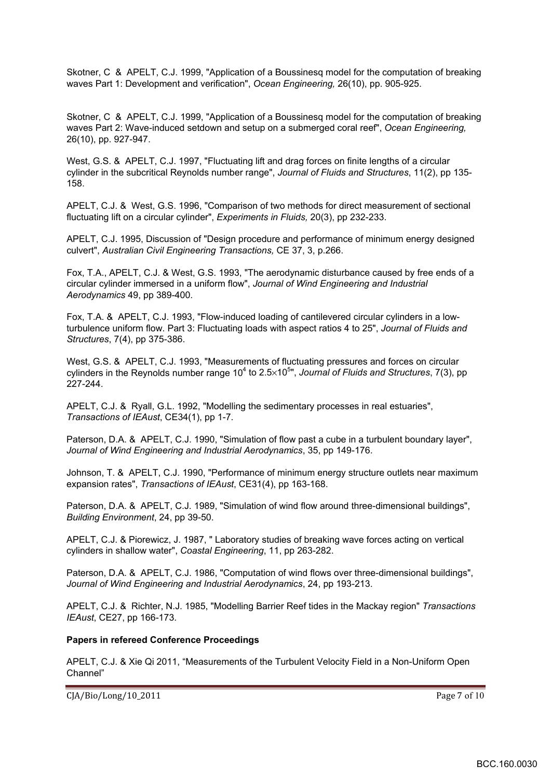Skotner, C & APELT, C.J. 1999, "Application of a Boussinesq model for the computation of breaking waves Part 1: Development and verification", *Ocean Engineering,* 26(10), pp. 905-925.

Skotner, C & APELT, C.J. 1999, "Application of a Boussinesq model for the computation of breaking waves Part 2: Wave-induced setdown and setup on a submerged coral reef", *Ocean Engineering,* 26(10), pp. 927-947.

West, G.S. & APELT, C.J. 1997, "Fluctuating lift and drag forces on finite lengths of a circular cylinder in the subcritical Reynolds number range", *Journal of Fluids and Structures*, 11(2), pp 135- 158.

APELT, C.J. & West, G.S. 1996, "Comparison of two methods for direct measurement of sectional fluctuating lift on a circular cylinder", *Experiments in Fluids,* 20(3), pp 232-233.

APELT, C.J. 1995, Discussion of "Design procedure and performance of minimum energy designed culvert", *Australian Civil Engineering Transactions,* CE 37, 3, p.266.

Fox, T.A., APELT, C.J. & West, G.S. 1993, "The aerodynamic disturbance caused by free ends of a circular cylinder immersed in a uniform flow", *Journal of Wind Engineering and Industrial Aerodynamics* 49, pp 389-400.

Fox, T.A. & APELT, C.J. 1993, "Flow-induced loading of cantilevered circular cylinders in a lowturbulence uniform flow. Part 3: Fluctuating loads with aspect ratios 4 to 25", *Journal of Fluids and Structures*, 7(4), pp 375-386.

West, G.S. & APELT, C.J. 1993, "Measurements of fluctuating pressures and forces on circular cylinders in the Reynolds number range 10<sup>4</sup> to 2.5×10<sup>5</sup>", Journal of Fluids and Structures, 7(3), pp 227-244.

APELT, C.J. & Ryall, G.L. 1992, "Modelling the sedimentary processes in real estuaries", *Transactions of IEAust*, CE34(1), pp 1-7.

Paterson, D.A. & APELT, C.J. 1990, "Simulation of flow past a cube in a turbulent boundary layer", *Journal of Wind Engineering and Industrial Aerodynamics*, 35, pp 149-176.

Johnson, T. & APELT, C.J. 1990, "Performance of minimum energy structure outlets near maximum expansion rates", *Transactions of IEAust*, CE31(4), pp 163-168.

Paterson, D.A. & APELT, C.J. 1989, "Simulation of wind flow around three-dimensional buildings", *Building Environment*, 24, pp 39-50.

APELT, C.J. & Piorewicz, J. 1987, " Laboratory studies of breaking wave forces acting on vertical cylinders in shallow water", *Coastal Engineering*, 11, pp 263-282.

Paterson, D.A. & APELT, C.J. 1986, "Computation of wind flows over three-dimensional buildings", *Journal of Wind Engineering and Industrial Aerodynamics*, 24, pp 193-213.

APELT, C.J. & Richter, N.J. 1985, "Modelling Barrier Reef tides in the Mackay region" *Transactions IEAust*, CE27, pp 166-173.

#### **Papers in refereed Conference Proceedings**

APELT, C.J. & Xie Qi 2011, "Measurements of the Turbulent Velocity Field in a Non-Uniform Open Channel"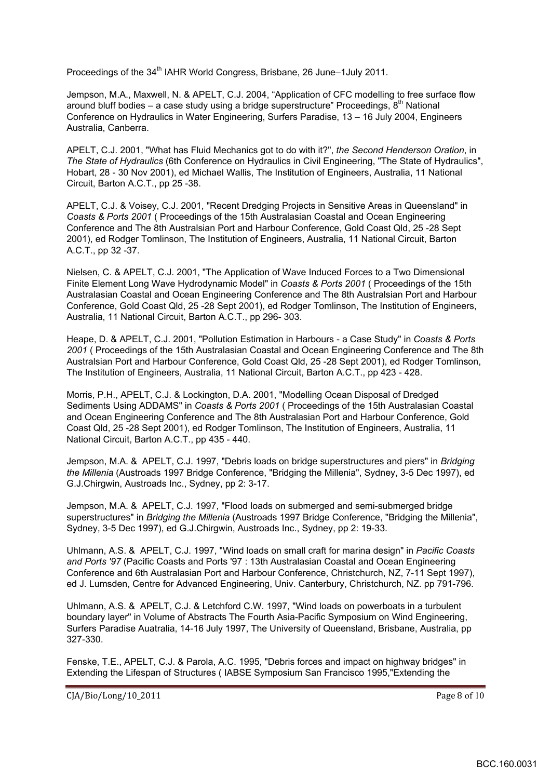Proceedings of the 34<sup>th</sup> IAHR World Congress, Brisbane, 26 June–1July 2011.

Jempson, M.A., Maxwell, N. & APELT, C.J. 2004, "Application of CFC modelling to free surface flow around bluff bodies – a case study using a bridge superstructure" Proceedings,  $8<sup>th</sup>$  National Conference on Hydraulics in Water Engineering, Surfers Paradise, 13 – 16 July 2004, Engineers Australia, Canberra.

APELT, C.J. 2001, "What has Fluid Mechanics got to do with it?", *the Second Henderson Oration*, in *The State of Hydraulics* (6th Conference on Hydraulics in Civil Engineering, "The State of Hydraulics", Hobart, 28 - 30 Nov 2001), ed Michael Wallis, The Institution of Engineers, Australia, 11 National Circuit, Barton A.C.T., pp 25 -38.

APELT, C.J. & Voisey, C.J. 2001, "Recent Dredging Projects in Sensitive Areas in Queensland" in *Coasts & Ports 2001* ( Proceedings of the 15th Australasian Coastal and Ocean Engineering Conference and The 8th Australsian Port and Harbour Conference, Gold Coast Qld, 25 -28 Sept 2001), ed Rodger Tomlinson, The Institution of Engineers, Australia, 11 National Circuit, Barton A.C.T., pp 32 -37.

Nielsen, C. & APELT, C.J. 2001, "The Application of Wave Induced Forces to a Two Dimensional Finite Element Long Wave Hydrodynamic Model" in *Coasts & Ports 2001* ( Proceedings of the 15th Australasian Coastal and Ocean Engineering Conference and The 8th Australsian Port and Harbour Conference, Gold Coast Qld, 25 -28 Sept 2001), ed Rodger Tomlinson, The Institution of Engineers, Australia, 11 National Circuit, Barton A.C.T., pp 296- 303.

Heape, D. & APELT, C.J. 2001, "Pollution Estimation in Harbours - a Case Study" in *Coasts & Ports 2001* ( Proceedings of the 15th Australasian Coastal and Ocean Engineering Conference and The 8th Australsian Port and Harbour Conference, Gold Coast Qld, 25 -28 Sept 2001), ed Rodger Tomlinson, The Institution of Engineers, Australia, 11 National Circuit, Barton A.C.T., pp 423 - 428.

Morris, P.H., APELT, C.J. & Lockington, D.A. 2001, "Modelling Ocean Disposal of Dredged Sediments Using ADDAMS" in *Coasts & Ports 2001* ( Proceedings of the 15th Australasian Coastal and Ocean Engineering Conference and The 8th Australasian Port and Harbour Conference, Gold Coast Qld, 25 -28 Sept 2001), ed Rodger Tomlinson, The Institution of Engineers, Australia, 11 National Circuit, Barton A.C.T., pp 435 - 440.

Jempson, M.A. & APELT, C.J. 1997, "Debris loads on bridge superstructures and piers" in *Bridging the Millenia* (Austroads 1997 Bridge Conference, "Bridging the Millenia", Sydney, 3-5 Dec 1997), ed G.J.Chirgwin, Austroads Inc., Sydney, pp 2: 3-17.

Jempson, M.A. & APELT, C.J. 1997, "Flood loads on submerged and semi-submerged bridge superstructures" in *Bridging the Millenia* (Austroads 1997 Bridge Conference, "Bridging the Millenia", Sydney, 3-5 Dec 1997), ed G.J.Chirgwin, Austroads Inc., Sydney, pp 2: 19-33.

Uhlmann, A.S. & APELT, C.J. 1997, "Wind loads on small craft for marina design" in *Pacific Coasts and Ports '97* (Pacific Coasts and Ports '97 : 13th Australasian Coastal and Ocean Engineering Conference and 6th Australasian Port and Harbour Conference, Christchurch, NZ, 7-11 Sept 1997), ed J. Lumsden, Centre for Advanced Engineering, Univ. Canterbury, Christchurch, NZ. pp 791-796.

Uhlmann, A.S. & APELT, C.J. & Letchford C.W. 1997, "Wind loads on powerboats in a turbulent boundary layer" in Volume of Abstracts The Fourth Asia-Pacific Symposium on Wind Engineering, Surfers Paradise Auatralia, 14-16 July 1997, The University of Queensland, Brisbane, Australia, pp 327-330.

Fenske, T.E., APELT, C.J. & Parola, A.C. 1995, "Debris forces and impact on highway bridges" in Extending the Lifespan of Structures ( IABSE Symposium San Francisco 1995,"Extending the

 $C[A/Bio/Long/10_2011$  Page 8 of 10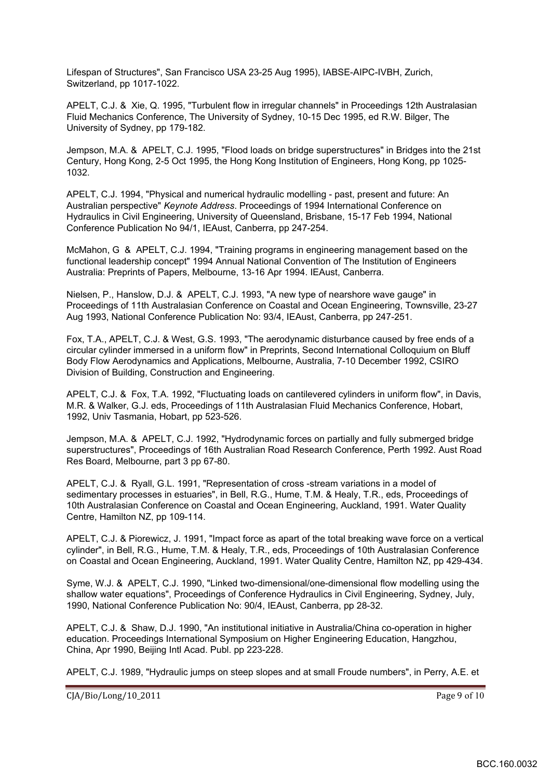Lifespan of Structures", San Francisco USA 23-25 Aug 1995), IABSE-AIPC-IVBH, Zurich, Switzerland, pp 1017-1022.

APELT, C.J. & Xie, Q. 1995, "Turbulent flow in irregular channels" in Proceedings 12th Australasian Fluid Mechanics Conference, The University of Sydney, 10-15 Dec 1995, ed R.W. Bilger, The University of Sydney, pp 179-182.

Jempson, M.A. & APELT, C.J. 1995, "Flood loads on bridge superstructures" in Bridges into the 21st Century, Hong Kong, 2-5 Oct 1995, the Hong Kong Institution of Engineers, Hong Kong, pp 1025- 1032.

APELT, C.J. 1994, "Physical and numerical hydraulic modelling - past, present and future: An Australian perspective" *Keynote Address*. Proceedings of 1994 International Conference on Hydraulics in Civil Engineering, University of Queensland, Brisbane, 15-17 Feb 1994, National Conference Publication No 94/1, IEAust, Canberra, pp 247-254.

McMahon, G & APELT, C.J. 1994, "Training programs in engineering management based on the functional leadership concept" 1994 Annual National Convention of The Institution of Engineers Australia: Preprints of Papers, Melbourne, 13-16 Apr 1994. IEAust, Canberra.

Nielsen, P., Hanslow, D.J. & APELT, C.J. 1993, "A new type of nearshore wave gauge" in Proceedings of 11th Australasian Conference on Coastal and Ocean Engineering, Townsville, 23-27 Aug 1993, National Conference Publication No: 93/4, IEAust, Canberra, pp 247-251.

Fox, T.A., APELT, C.J. & West, G.S. 1993, "The aerodynamic disturbance caused by free ends of a circular cylinder immersed in a uniform flow" in Preprints, Second International Colloquium on Bluff Body Flow Aerodynamics and Applications, Melbourne, Australia, 7-10 December 1992, CSIRO Division of Building, Construction and Engineering.

APELT, C.J. & Fox, T.A. 1992, "Fluctuating loads on cantilevered cylinders in uniform flow", in Davis, M.R. & Walker, G.J. eds, Proceedings of 11th Australasian Fluid Mechanics Conference, Hobart, 1992, Univ Tasmania, Hobart, pp 523-526.

Jempson, M.A. & APELT, C.J. 1992, "Hydrodynamic forces on partially and fully submerged bridge superstructures", Proceedings of 16th Australian Road Research Conference, Perth 1992. Aust Road Res Board, Melbourne, part 3 pp 67-80.

APELT, C.J. & Ryall, G.L. 1991, "Representation of cross -stream variations in a model of sedimentary processes in estuaries", in Bell, R.G., Hume, T.M. & Healy, T.R., eds, Proceedings of 10th Australasian Conference on Coastal and Ocean Engineering, Auckland, 1991. Water Quality Centre, Hamilton NZ, pp 109-114.

APELT, C.J. & Piorewicz, J. 1991, "Impact force as apart of the total breaking wave force on a vertical cylinder", in Bell, R.G., Hume, T.M. & Healy, T.R., eds, Proceedings of 10th Australasian Conference on Coastal and Ocean Engineering, Auckland, 1991. Water Quality Centre, Hamilton NZ, pp 429-434.

Syme, W.J. & APELT, C.J. 1990, "Linked two-dimensional/one-dimensional flow modelling using the shallow water equations", Proceedings of Conference Hydraulics in Civil Engineering, Sydney, July, 1990, National Conference Publication No: 90/4, IEAust, Canberra, pp 28-32.

APELT, C.J. & Shaw, D.J. 1990, "An institutional initiative in Australia/China co-operation in higher education. Proceedings International Symposium on Higher Engineering Education, Hangzhou, China, Apr 1990, Beijing Intl Acad. Publ. pp 223-228.

APELT, C.J. 1989, "Hydraulic jumps on steep slopes and at small Froude numbers", in Perry, A.E. et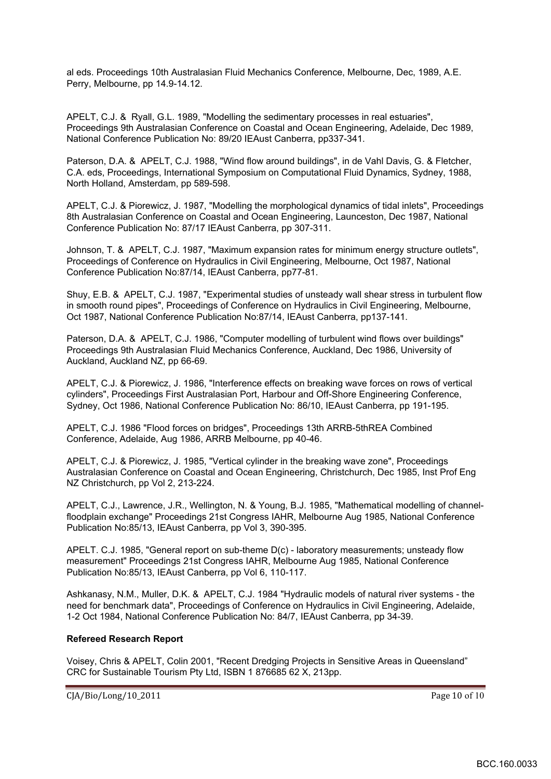al eds. Proceedings 10th Australasian Fluid Mechanics Conference, Melbourne, Dec, 1989, A.E. Perry, Melbourne, pp 14.9-14.12.

APELT, C.J. & Ryall, G.L. 1989, "Modelling the sedimentary processes in real estuaries", Proceedings 9th Australasian Conference on Coastal and Ocean Engineering, Adelaide, Dec 1989, National Conference Publication No: 89/20 IEAust Canberra, pp337-341.

Paterson, D.A. & APELT, C.J. 1988, "Wind flow around buildings", in de Vahl Davis, G. & Fletcher, C.A. eds, Proceedings, International Symposium on Computational Fluid Dynamics, Sydney, 1988, North Holland, Amsterdam, pp 589-598.

APELT, C.J. & Piorewicz, J. 1987, "Modelling the morphological dynamics of tidal inlets", Proceedings 8th Australasian Conference on Coastal and Ocean Engineering, Launceston, Dec 1987, National Conference Publication No: 87/17 IEAust Canberra, pp 307-311.

Johnson, T. & APELT, C.J. 1987, "Maximum expansion rates for minimum energy structure outlets", Proceedings of Conference on Hydraulics in Civil Engineering, Melbourne, Oct 1987, National Conference Publication No:87/14, IEAust Canberra, pp77-81.

Shuy, E.B. & APELT, C.J. 1987, "Experimental studies of unsteady wall shear stress in turbulent flow in smooth round pipes", Proceedings of Conference on Hydraulics in Civil Engineering, Melbourne, Oct 1987, National Conference Publication No:87/14, IEAust Canberra, pp137-141.

Paterson, D.A. & APELT, C.J. 1986, "Computer modelling of turbulent wind flows over buildings" Proceedings 9th Australasian Fluid Mechanics Conference, Auckland, Dec 1986, University of Auckland, Auckland NZ, pp 66-69.

APELT, C.J. & Piorewicz, J. 1986, "Interference effects on breaking wave forces on rows of vertical cylinders", Proceedings First Australasian Port, Harbour and Off-Shore Engineering Conference, Sydney, Oct 1986, National Conference Publication No: 86/10, IEAust Canberra, pp 191-195.

APELT, C.J. 1986 "Flood forces on bridges", Proceedings 13th ARRB-5thREA Combined Conference, Adelaide, Aug 1986, ARRB Melbourne, pp 40-46.

APELT, C.J. & Piorewicz, J. 1985, "Vertical cylinder in the breaking wave zone", Proceedings Australasian Conference on Coastal and Ocean Engineering, Christchurch, Dec 1985, Inst Prof Eng NZ Christchurch, pp Vol 2, 213-224.

APELT, C.J., Lawrence, J.R., Wellington, N. & Young, B.J. 1985, "Mathematical modelling of channelfloodplain exchange" Proceedings 21st Congress IAHR, Melbourne Aug 1985, National Conference Publication No:85/13, IEAust Canberra, pp Vol 3, 390-395.

APELT. C.J. 1985, "General report on sub-theme D(c) - laboratory measurements; unsteady flow measurement" Proceedings 21st Congress IAHR, Melbourne Aug 1985, National Conference Publication No:85/13, IEAust Canberra, pp Vol 6, 110-117.

Ashkanasy, N.M., Muller, D.K. & APELT, C.J. 1984 "Hydraulic models of natural river systems - the need for benchmark data", Proceedings of Conference on Hydraulics in Civil Engineering, Adelaide, 1-2 Oct 1984, National Conference Publication No: 84/7, IEAust Canberra, pp 34-39.

#### **Refereed Research Report**

Voisey, Chris & APELT, Colin 2001, "Recent Dredging Projects in Sensitive Areas in Queensland" CRC for Sustainable Tourism Pty Ltd, ISBN 1 876685 62 X, 213pp.